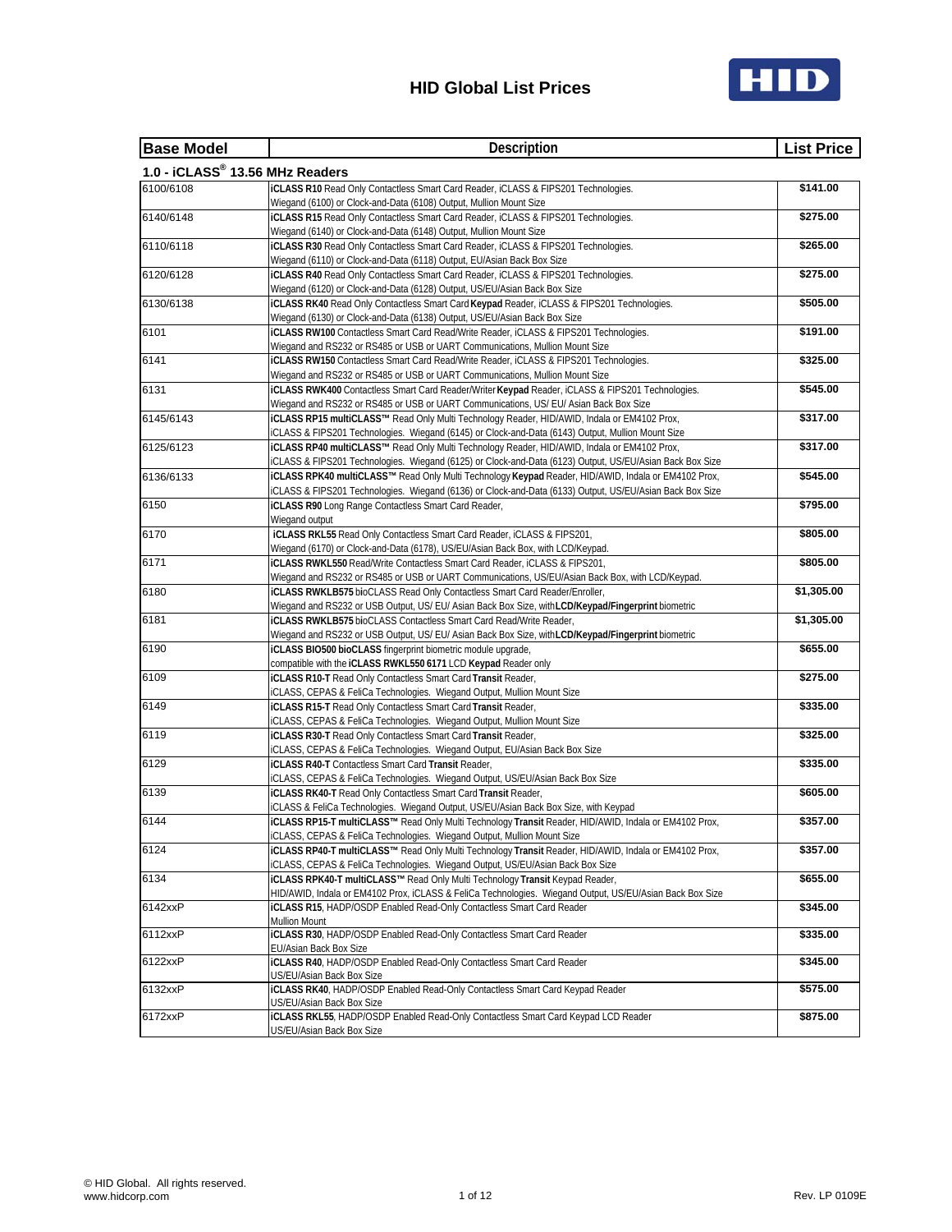

| <b>Base Model</b>                                                         | Description                                                                                                                                                                      | <b>List Price</b> |
|---------------------------------------------------------------------------|----------------------------------------------------------------------------------------------------------------------------------------------------------------------------------|-------------------|
| 1.0 - iCLASS® 13.56 MHz Readers                                           |                                                                                                                                                                                  |                   |
| 6100/6108                                                                 | iCLASS R10 Read Only Contactless Smart Card Reader, iCLASS & FIPS201 Technologies.                                                                                               | \$141.00          |
|                                                                           | Wiegand (6100) or Clock-and-Data (6108) Output, Mullion Mount Size                                                                                                               |                   |
| 6140/6148                                                                 | <b>iCLASS R15</b> Read Only Contactless Smart Card Reader, iCLASS & FIPS201 Technologies.                                                                                        | \$275.00          |
|                                                                           | Wiegand (6140) or Clock-and-Data (6148) Output, Mullion Mount Size                                                                                                               |                   |
| 6110/6118                                                                 | <b>iCLASS R30</b> Read Only Contactless Smart Card Reader, iCLASS & FIPS201 Technologies.                                                                                        | \$265.00          |
|                                                                           | Wiegand (6110) or Clock-and-Data (6118) Output, EU/Asian Back Box Size                                                                                                           |                   |
| 6120/6128                                                                 | iCLASS R40 Read Only Contactless Smart Card Reader, iCLASS & FIPS201 Technologies.                                                                                               | \$275.00          |
| Wiegand (6120) or Clock-and-Data (6128) Output, US/EU/Asian Back Box Size |                                                                                                                                                                                  |                   |
| 6130/6138                                                                 | iCLASS RK40 Read Only Contactless Smart Card Keypad Reader, iCLASS & FIPS201 Technologies.                                                                                       | \$505.00          |
|                                                                           | Wiegand (6130) or Clock-and-Data (6138) Output, US/EU/Asian Back Box Size                                                                                                        |                   |
| 6101                                                                      | iCLASS RW100 Contactless Smart Card Read/Write Reader, iCLASS & FIPS201 Technologies.<br>Wiegand and RS232 or RS485 or USB or UART Communications, Mullion Mount Size            | \$191.00          |
| 6141                                                                      | iCLASS RW150 Contactless Smart Card Read/Write Reader, iCLASS & FIPS201 Technologies.                                                                                            | \$325.00          |
|                                                                           |                                                                                                                                                                                  |                   |
| 6131                                                                      | Wiegand and RS232 or RS485 or USB or UART Communications, Mullion Mount Size<br>iCLASS RWK400 Contactless Smart Card Reader/Writer Keypad Reader, iCLASS & FIPS201 Technologies. | \$545.00          |
|                                                                           | Wiegand and RS232 or RS485 or USB or UART Communications, US/ EU/ Asian Back Box Size                                                                                            |                   |
| 6145/6143                                                                 | iCLASS RP15 multiCLASS™ Read Only Multi Technology Reader, HID/AWID, Indala or EM4102 Prox,                                                                                      | \$317.00          |
|                                                                           | iCLASS & FIPS201 Technologies. Wiegand (6145) or Clock-and-Data (6143) Output, Mullion Mount Size                                                                                |                   |
| 6125/6123                                                                 | iCLASS RP40 multiCLASS™ Read Only Multi Technology Reader, HID/AWID, Indala or EM4102 Prox,                                                                                      | \$317.00          |
|                                                                           | iCLASS & FIPS201 Technologies. Wiegand (6125) or Clock-and-Data (6123) Output, US/EU/Asian Back Box Size                                                                         |                   |
| 6136/6133                                                                 | iCLASS RPK40 multiCLASS™ Read Only Multi Technology Keypad Reader, HID/AWID, Indala or EM4102 Prox,                                                                              | \$545.00          |
|                                                                           | iCLASS & FIPS201 Technologies. Wiegand (6136) or Clock-and-Data (6133) Output, US/EU/Asian Back Box Size                                                                         |                   |
| 6150                                                                      | <b>iCLASS R90</b> Long Range Contactless Smart Card Reader,                                                                                                                      | \$795.00          |
|                                                                           | Wiegand output                                                                                                                                                                   |                   |
| 6170                                                                      | iCLASS RKL55 Read Only Contactless Smart Card Reader, iCLASS & FIPS201,                                                                                                          | \$805.00          |
|                                                                           | Wiegand (6170) or Clock-and-Data (6178), US/EU/Asian Back Box, with LCD/Keypad.                                                                                                  |                   |
| 6171                                                                      | iCLASS RWKL550 Read/Write Contactless Smart Card Reader, iCLASS & FIPS201,                                                                                                       | \$805.00          |
|                                                                           | Wiegand and RS232 or RS485 or USB or UART Communications, US/EU/Asian Back Box, with LCD/Keypad.                                                                                 |                   |
| 6180                                                                      | iCLASS RWKLB575 bioCLASS Read Only Contactless Smart Card Reader/Enroller,                                                                                                       | \$1,305.00        |
|                                                                           | Wiegand and RS232 or USB Output, US/ EU/ Asian Back Box Size, withLCD/Keypad/Fingerprint biometric                                                                               |                   |
| 6181                                                                      | <b>iCLASS RWKLB575 bioCLASS Contactless Smart Card Read/Write Reader,</b>                                                                                                        | \$1,305.00        |
|                                                                           | Wiegand and RS232 or USB Output, US/ EU/ Asian Back Box Size, withLCD/Keypad/Fingerprint biometric                                                                               |                   |
| 6190                                                                      | iCLASS BIO500 bioCLASS fingerprint biometric module upgrade,                                                                                                                     | \$655.00          |
|                                                                           | compatible with the iCLASS RWKL550 6171 LCD Keypad Reader only                                                                                                                   |                   |
| 6109                                                                      | iCLASS R10-T Read Only Contactless Smart Card Transit Reader,                                                                                                                    | \$275.00          |
|                                                                           | iCLASS, CEPAS & FeliCa Technologies. Wiegand Output, Mullion Mount Size                                                                                                          |                   |
| 6149                                                                      | iCLASS R15-T Read Only Contactless Smart Card Transit Reader,                                                                                                                    | \$335.00          |
|                                                                           | iCLASS, CEPAS & FeliCa Technologies. Wiegand Output, Mullion Mount Size                                                                                                          |                   |
| 6119                                                                      | <b>iCLASS R30-T Read Only Contactless Smart Card Transit Reader,</b>                                                                                                             | \$325.00          |
|                                                                           | iCLASS, CEPAS & FeliCa Technologies. Wiegand Output, EU/Asian Back Box Size                                                                                                      |                   |
| 6129                                                                      | <b>iCLASS R40-T Contactless Smart Card Transit Reader,</b>                                                                                                                       | \$335.00          |
|                                                                           | iCLASS, CEPAS & FeliCa Technologies. Wiegand Output, US/EU/Asian Back Box Size                                                                                                   |                   |
| 6139                                                                      | iCLASS RK40-T Read Only Contactless Smart Card Transit Reader,                                                                                                                   | \$605.00          |
|                                                                           | iCLASS & FeliCa Technologies. Wiegand Output, US/EU/Asian Back Box Size, with Keypad                                                                                             |                   |
| 6144                                                                      | iCLASS RP15-T multiCLASS™ Read Only Multi Technology Transit Reader, HID/AWID, Indala or EM4102 Prox,                                                                            | \$357.00          |
|                                                                           | iCLASS, CEPAS & FeliCa Technologies. Wiegand Output, Mullion Mount Size                                                                                                          |                   |
| 6124                                                                      | iCLASS RP40-T multiCLASS™ Read Only Multi Technology Transit Reader, HID/AWID, Indala or EM4102 Prox,                                                                            | \$357.00          |
|                                                                           | iCLASS, CEPAS & FeliCa Technologies. Wiegand Output, US/EU/Asian Back Box Size                                                                                                   |                   |
| 6134                                                                      | iCLASS RPK40-T multiCLASS™ Read Only Multi Technology Transit Keypad Reader,                                                                                                     | \$655.00          |
|                                                                           | HID/AWID, Indala or EM4102 Prox, iCLASS & FeliCa Technologies. Wiegand Output, US/EU/Asian Back Box Size                                                                         |                   |
| 6142xxP                                                                   | iCLASS R15, HADP/OSDP Enabled Read-Only Contactless Smart Card Reader                                                                                                            | \$345.00          |
|                                                                           | Mullion Mount                                                                                                                                                                    |                   |
| 6112xxP                                                                   | iCLASS R30, HADP/OSDP Enabled Read-Only Contactless Smart Card Reader                                                                                                            | \$335.00          |
|                                                                           | EU/Asian Back Box Size                                                                                                                                                           |                   |
| 6122xxP                                                                   | iCLASS R40, HADP/OSDP Enabled Read-Only Contactless Smart Card Reader                                                                                                            | \$345.00          |
| 6132xxP                                                                   | US/EU/Asian Back Box Size<br>iCLASS RK40, HADP/OSDP Enabled Read-Only Contactless Smart Card Keypad Reader                                                                       | \$575.00          |
|                                                                           | US/EU/Asian Back Box Size                                                                                                                                                        |                   |
| 6172xxP                                                                   | iCLASS RKL55, HADP/OSDP Enabled Read-Only Contactless Smart Card Keypad LCD Reader                                                                                               | \$875.00          |
|                                                                           | US/EU/Asian Back Box Size                                                                                                                                                        |                   |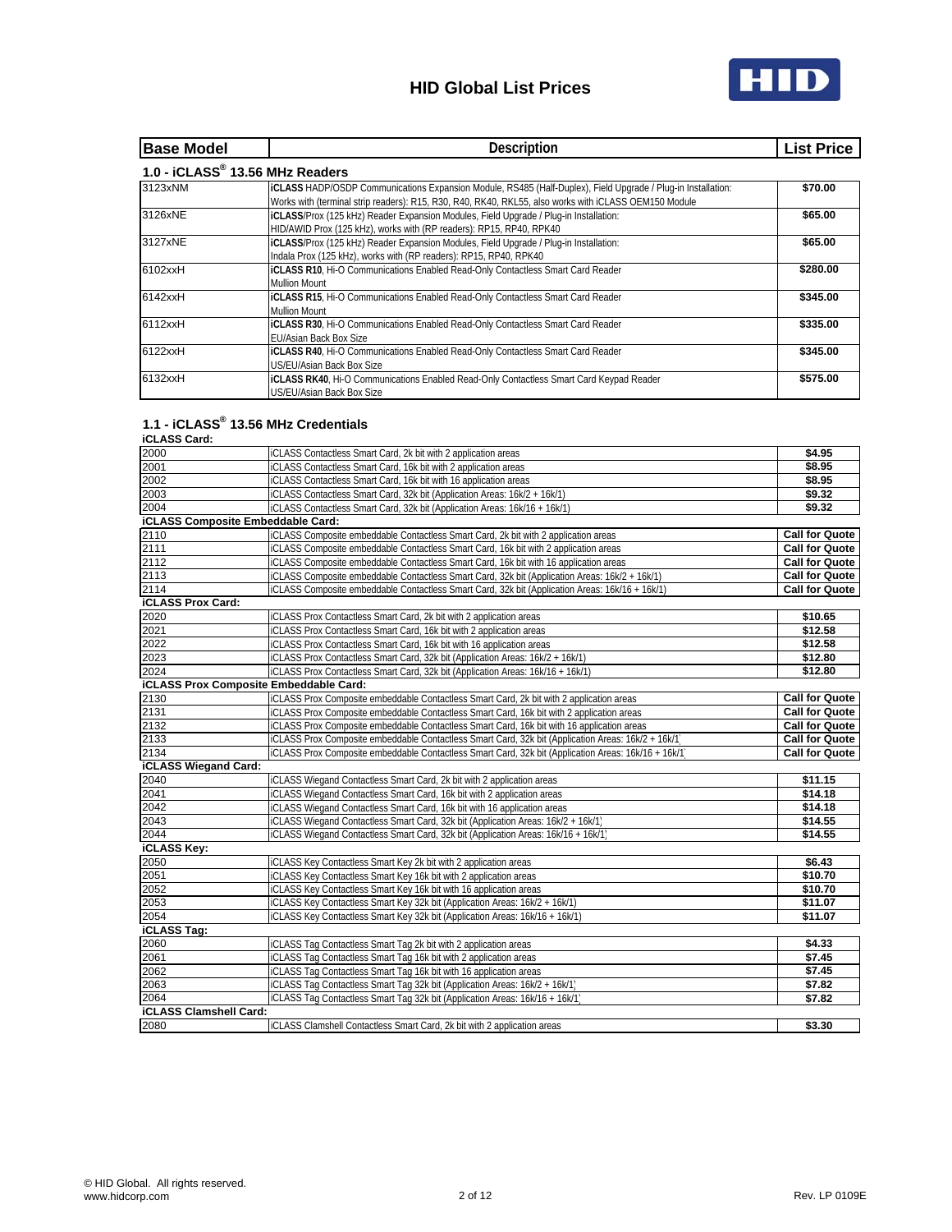

| <b>Base Model</b>               | <b>Description</b>                                                                                                                                                                                                            |          |
|---------------------------------|-------------------------------------------------------------------------------------------------------------------------------------------------------------------------------------------------------------------------------|----------|
| 1.0 - iCLASS® 13.56 MHz Readers |                                                                                                                                                                                                                               |          |
| 3123xNM                         | <b>IICLASS HADP/OSDP Communications Expansion Module, RS485 (Half-Duplex), Field Upgrade / Plug-in Installation:</b><br>Works with (terminal strip readers): R15, R30, R40, RK40, RKL55, also works with iCLASS OEM150 Module | \$70.00  |
| 3126xNE                         | ICLASS/Prox (125 kHz) Reader Expansion Modules, Field Upgrade / Plug-in Installation:<br>HID/AWID Prox (125 kHz), works with (RP readers): RP15, RP40, RPK40                                                                  | \$65.00  |
| 3127xNE                         | ICLASS/Prox (125 kHz) Reader Expansion Modules, Field Upgrade / Plug-in Installation:<br>Indala Prox (125 kHz), works with (RP readers): RP15, RP40, RPK40                                                                    | \$65.00  |
| 6102xxH                         | ICLASS R10, Hi-O Communications Enabled Read-Only Contactless Smart Card Reader<br><b>Mullion Mount</b>                                                                                                                       | \$280.00 |
| 6142xxH                         | ICLASS R15, Hi-O Communications Enabled Read-Only Contactless Smart Card Reader<br><b>Mullion Mount</b>                                                                                                                       | \$345.00 |
| 6112xxH                         | ICLASS R30, Hi-O Communications Enabled Read-Only Contactless Smart Card Reader<br>EU/Asian Back Box Size                                                                                                                     | \$335.00 |
| 6122xxH                         | ICLASS R40, Hi-O Communications Enabled Read-Only Contactless Smart Card Reader<br>US/EU/Asian Back Box Size                                                                                                                  | \$345.00 |
| 6132xxH                         | <b>ICLASS RK40, Hi-O Communications Enabled Read-Only Contactless Smart Card Keypad Reader</b><br>US/EU/Asian Back Box Size                                                                                                   | \$575.00 |

### **1.1 - iCLASS® 13.56 MHz Credentials**

| <b>iCLASS Card:</b>                      |                                                                                                     |                       |
|------------------------------------------|-----------------------------------------------------------------------------------------------------|-----------------------|
| 2000                                     | iCLASS Contactless Smart Card, 2k bit with 2 application areas                                      | \$4.95                |
| 2001                                     | iCLASS Contactless Smart Card, 16k bit with 2 application areas                                     | \$8.95                |
| 2002                                     | iCLASS Contactless Smart Card, 16k bit with 16 application areas                                    | \$8.95                |
| 2003                                     | iCLASS Contactless Smart Card, 32k bit (Application Areas: 16k/2 + 16k/1)                           | \$9.32                |
| 2004                                     | iCLASS Contactless Smart Card, 32k bit (Application Areas: 16k/16 + 16k/1)                          | \$9.32                |
| <b>iCLASS Composite Embeddable Card:</b> |                                                                                                     |                       |
| 2110                                     | iCLASS Composite embeddable Contactless Smart Card, 2k bit with 2 application areas                 | <b>Call for Quote</b> |
| 2111<br>2112                             | iCLASS Composite embeddable Contactless Smart Card, 16k bit with 2 application areas                | <b>Call for Quote</b> |
|                                          | iCLASS Composite embeddable Contactless Smart Card, 16k bit with 16 application areas               | <b>Call for Quote</b> |
| 2113                                     | iCLASS Composite embeddable Contactless Smart Card, 32k bit (Application Areas: 16k/2 + 16k/1)      | <b>Call for Quote</b> |
| 2114                                     | iCLASS Composite embeddable Contactless Smart Card, 32k bit (Application Areas: 16k/16 + 16k/1)     | <b>Call for Quote</b> |
| <b>iCLASS Prox Card:</b>                 |                                                                                                     |                       |
| 2020                                     | iCLASS Prox Contactless Smart Card, 2k bit with 2 application areas                                 | \$10.65               |
| 2021                                     | iCLASS Prox Contactless Smart Card, 16k bit with 2 application areas                                | \$12.58               |
| 2022                                     | iCLASS Prox Contactless Smart Card, 16k bit with 16 application areas                               | \$12.58               |
| 2023                                     | iCLASS Prox Contactless Smart Card, 32k bit (Application Areas: 16k/2 + 16k/1)                      | \$12.80               |
| 2024                                     | iCLASS Prox Contactless Smart Card, 32k bit (Application Areas: 16k/16 + 16k/1)                     | \$12.80               |
|                                          | <b>iCLASS Prox Composite Embeddable Card:</b>                                                       |                       |
| 2130                                     | iCLASS Prox Composite embeddable Contactless Smart Card, 2k bit with 2 application areas            | <b>Call for Quote</b> |
| 2131                                     | iCLASS Prox Composite embeddable Contactless Smart Card, 16k bit with 2 application areas           | <b>Call for Quote</b> |
| 2132                                     | iCLASS Prox Composite embeddable Contactless Smart Card, 16k bit with 16 application areas          | <b>Call for Quote</b> |
| 2133                                     | iCLASS Prox Composite embeddable Contactless Smart Card, 32k bit (Application Areas: 16k/2 + 16k/1) | <b>Call for Quote</b> |
| 2134                                     | iCLASS Prox Composite embeddable Contactless Smart Card, 32k bit (Application Areas: 16k/16 + 16k/1 | <b>Call for Quote</b> |
| <b>iCLASS Wiegand Card:</b>              |                                                                                                     |                       |
| 2040                                     | iCLASS Wiegand Contactless Smart Card, 2k bit with 2 application areas                              | \$11.15               |
| 2041                                     | iCLASS Wiegand Contactless Smart Card, 16k bit with 2 application areas                             | \$14.18               |
| 2042                                     | iCLASS Wiegand Contactless Smart Card, 16k bit with 16 application areas                            | \$14.18               |
| 2043                                     | iCLASS Wiegand Contactless Smart Card, 32k bit (Application Areas: 16k/2 + 16k/1)                   | \$14.55               |
| 2044                                     | iCLASS Wiegand Contactless Smart Card, 32k bit (Application Areas: 16k/16 + 16k/1)                  | \$14.55               |
| <b>iCLASS Key:</b>                       |                                                                                                     |                       |
| 2050                                     | iCLASS Key Contactless Smart Key 2k bit with 2 application areas                                    | \$6.43                |
| 2051                                     | iCLASS Key Contactless Smart Key 16k bit with 2 application areas                                   | \$10.70               |
| 2052                                     | iCLASS Key Contactless Smart Key 16k bit with 16 application areas                                  | \$10.70               |
| 2053                                     | iCLASS Key Contactless Smart Key 32k bit (Application Areas: 16k/2 + 16k/1)                         | \$11.07               |
| 2054                                     | iCLASS Key Contactless Smart Key 32k bit (Application Areas: 16k/16 + 16k/1)                        | \$11.07               |
| <b>iCLASS Tag:</b>                       |                                                                                                     |                       |
| 2060                                     | iCLASS Tag Contactless Smart Tag 2k bit with 2 application areas                                    | \$4.33                |
| 2061                                     | iCLASS Tag Contactless Smart Tag 16k bit with 2 application areas                                   | \$7.45                |
| 2062                                     | iCLASS Tag Contactless Smart Tag 16k bit with 16 application areas                                  | \$7.45                |
| 2063                                     | iCLASS Tag Contactless Smart Tag 32k bit (Application Areas: 16k/2 + 16k/1)                         | \$7.82                |
| 2064                                     | iCLASS Tag Contactless Smart Tag 32k bit (Application Areas: 16k/16 + 16k/1)                        | \$7.82                |
| <b>iCLASS Clamshell Card:</b>            |                                                                                                     |                       |
| 2080                                     | iCLASS Clamshell Contactless Smart Card, 2k bit with 2 application areas                            | \$3.30                |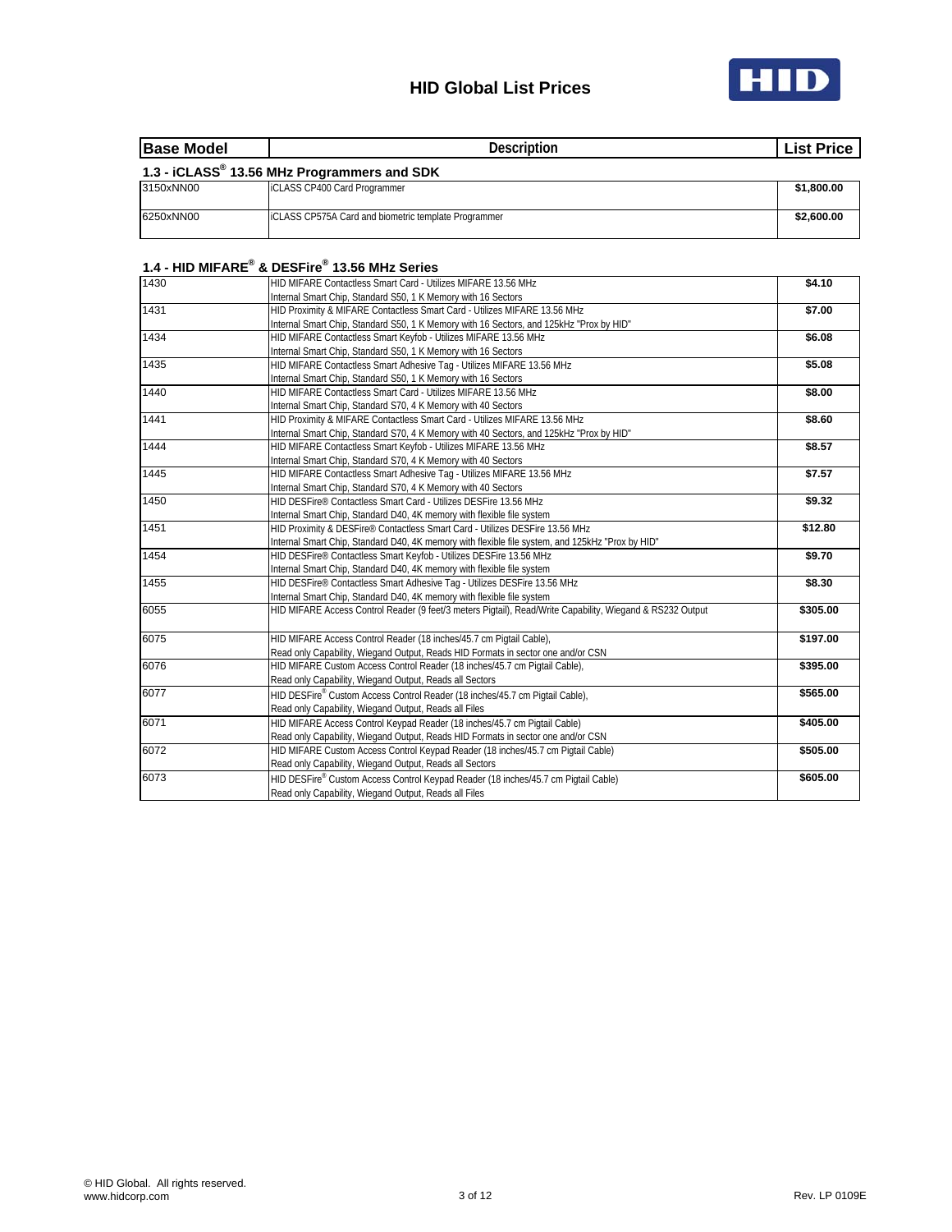



| <b>Base Model</b> | <b>Description</b>                                   | <b>List Price</b> |
|-------------------|------------------------------------------------------|-------------------|
|                   | 1.3 - iCLASS® 13.56 MHz Programmers and SDK          |                   |
| 3150xNN00         | <b>iCLASS CP400 Card Programmer</b>                  | \$1,800.00        |
| 6250xNN00         | ICLASS CP575A Card and biometric template Programmer | \$2,600.00        |

#### **1.4 - HID MIFARE® & DESFire® 13.56 MHz Series**

| .    |                                                                                                           |          |
|------|-----------------------------------------------------------------------------------------------------------|----------|
| 1430 | HID MIFARE Contactless Smart Card - Utilizes MIFARE 13.56 MHz                                             | \$4.10   |
|      | Internal Smart Chip, Standard S50, 1 K Memory with 16 Sectors                                             |          |
| 1431 | HID Proximity & MIFARE Contactless Smart Card - Utilizes MIFARE 13.56 MHz                                 | \$7.00   |
|      | Internal Smart Chip, Standard S50, 1 K Memory with 16 Sectors, and 125kHz "Prox by HID"                   |          |
| 1434 | HID MIFARE Contactless Smart Keyfob - Utilizes MIFARE 13.56 MHz                                           | \$6.08   |
|      | Internal Smart Chip, Standard S50, 1 K Memory with 16 Sectors                                             |          |
| 1435 | HID MIFARE Contactless Smart Adhesive Tag - Utilizes MIFARE 13.56 MHz                                     | \$5.08   |
|      | Internal Smart Chip, Standard S50, 1 K Memory with 16 Sectors                                             |          |
| 1440 | HID MIFARE Contactless Smart Card - Utilizes MIFARE 13.56 MHz                                             | \$8.00   |
|      | Internal Smart Chip, Standard S70, 4 K Memory with 40 Sectors                                             |          |
| 1441 | HID Proximity & MIFARE Contactless Smart Card - Utilizes MIFARE 13.56 MHz                                 | \$8.60   |
|      | Internal Smart Chip, Standard S70, 4 K Memory with 40 Sectors, and 125kHz "Prox by HID"                   |          |
| 1444 | HID MIFARE Contactless Smart Keyfob - Utilizes MIFARE 13.56 MHz                                           | \$8.57   |
|      | Internal Smart Chip, Standard S70, 4 K Memory with 40 Sectors                                             |          |
| 1445 | HID MIFARE Contactless Smart Adhesive Tag - Utilizes MIFARE 13.56 MHz                                     | \$7.57   |
|      | Internal Smart Chip, Standard S70, 4 K Memory with 40 Sectors                                             |          |
| 1450 | HID DESFire® Contactless Smart Card - Utilizes DESFire 13.56 MHz                                          | \$9.32   |
|      | Internal Smart Chip, Standard D40, 4K memory with flexible file system                                    |          |
| 1451 | HID Proximity & DESFire® Contactless Smart Card - Utilizes DESFire 13.56 MHz                              | \$12.80  |
|      | Internal Smart Chip, Standard D40, 4K memory with flexible file system, and 125kHz "Prox by HID"          |          |
| 1454 | HID DESFire® Contactless Smart Keyfob - Utilizes DESFire 13.56 MHz                                        | \$9.70   |
|      | Internal Smart Chip, Standard D40, 4K memory with flexible file system                                    |          |
| 1455 | HID DESFire® Contactless Smart Adhesive Tag - Utilizes DESFire 13.56 MHz                                  | \$8.30   |
|      | Internal Smart Chip, Standard D40, 4K memory with flexible file system                                    |          |
| 6055 | HID MIFARE Access Control Reader (9 feet/3 meters Pigtail), Read/Write Capability, Wiegand & RS232 Output | \$305.00 |
|      |                                                                                                           |          |
| 6075 | HID MIFARE Access Control Reader (18 inches/45.7 cm Pigtail Cable),                                       | \$197.00 |
|      | Read only Capability, Wiegand Output, Reads HID Formats in sector one and/or CSN                          |          |
| 6076 | HID MIFARE Custom Access Control Reader (18 inches/45.7 cm Pigtail Cable),                                | \$395.00 |
|      | Read only Capability, Wiegand Output, Reads all Sectors                                                   |          |
| 6077 | HID DESFire® Custom Access Control Reader (18 inches/45.7 cm Pigtail Cable),                              | \$565.00 |
|      | Read only Capability, Wiegand Output, Reads all Files                                                     |          |
| 6071 | HID MIFARE Access Control Keypad Reader (18 inches/45.7 cm Pigtail Cable)                                 | \$405.00 |
|      | Read only Capability, Wiegand Output, Reads HID Formats in sector one and/or CSN                          |          |
| 6072 | HID MIFARE Custom Access Control Keypad Reader (18 inches/45.7 cm Pigtail Cable)                          | \$505.00 |
|      | Read only Capability, Wiegand Output, Reads all Sectors                                                   |          |
| 6073 | HID DESFire® Custom Access Control Keypad Reader (18 inches/45.7 cm Pigtail Cable)                        | \$605.00 |
|      | Read only Capability, Wiegand Output, Reads all Files                                                     |          |
|      |                                                                                                           |          |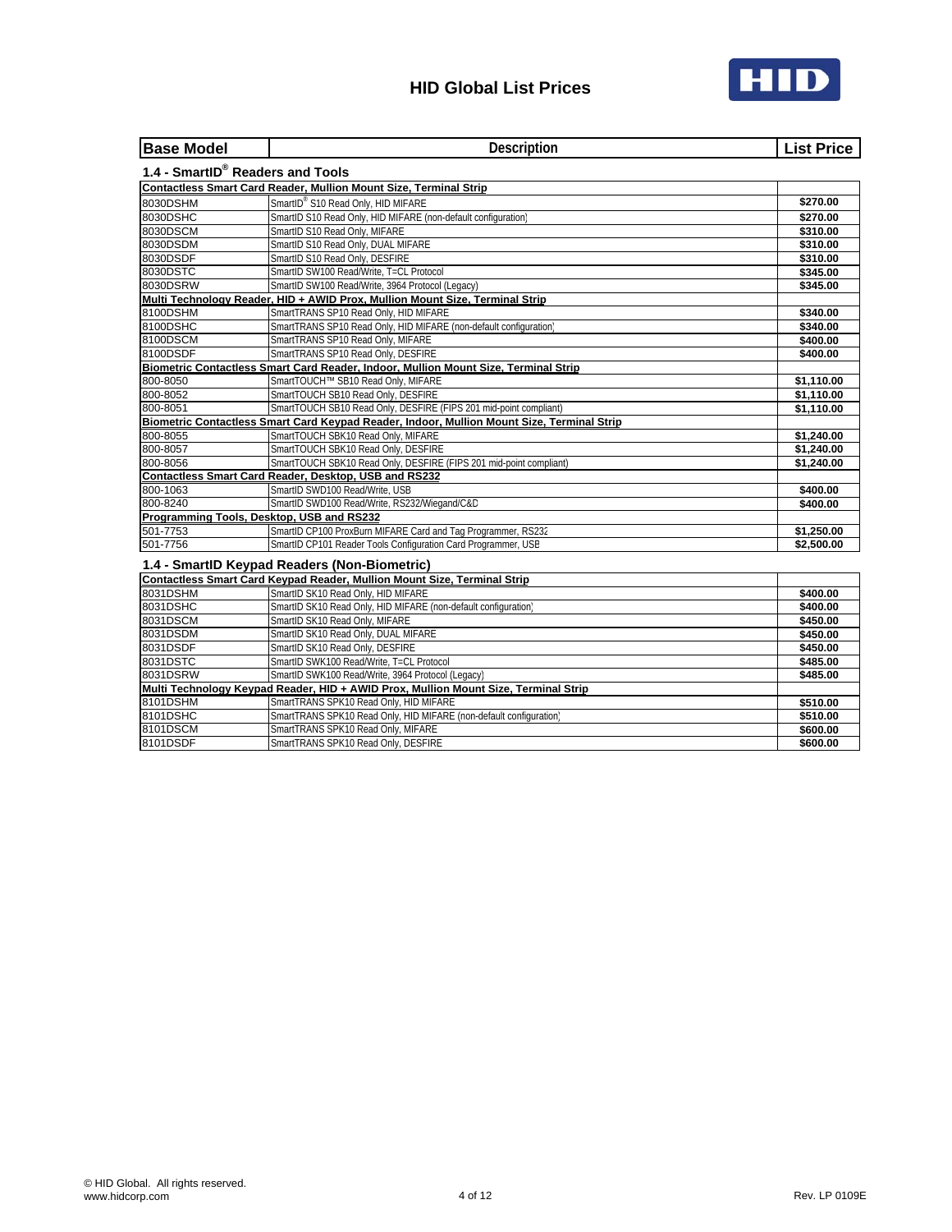

| <b>Base Model</b>                         | Description                                                                                | <b>List Price</b> |
|-------------------------------------------|--------------------------------------------------------------------------------------------|-------------------|
| 1.4 - SmartID® Readers and Tools          |                                                                                            |                   |
|                                           | Contactless Smart Card Reader, Mullion Mount Size, Terminal Strip                          |                   |
| 8030DSHM                                  | SmartID® S10 Read Only, HID MIFARE                                                         | \$270.00          |
| 8030DSHC                                  | SmartID S10 Read Only, HID MIFARE (non-default configuration)                              | \$270.00          |
| 8030DSCM                                  | SmartID S10 Read Only, MIFARE                                                              | \$310.00          |
| 8030DSDM                                  | SmartID S10 Read Only, DUAL MIFARE                                                         | \$310.00          |
| 8030DSDF                                  | SmartID S10 Read Only, DESFIRE                                                             | \$310.00          |
| 8030DSTC                                  | SmartID SW100 Read/Write, T=CL Protocol                                                    | \$345.00          |
| 8030DSRW                                  | SmartID SW100 Read/Write, 3964 Protocol (Legacy)                                           | \$345.00          |
|                                           | Multi Technology Reader, HID + AWID Prox, Mullion Mount Size, Terminal Strip               |                   |
| 8100DSHM                                  | SmartTRANS SP10 Read Only, HID MIFARE                                                      | \$340.00          |
| 8100DSHC                                  | SmartTRANS SP10 Read Only, HID MIFARE (non-default configuration)                          | \$340.00          |
| 8100DSCM                                  | SmartTRANS SP10 Read Only, MIFARE                                                          | \$400.00          |
| 8100DSDF                                  | SmartTRANS SP10 Read Only, DESFIRE                                                         | \$400.00          |
|                                           | Biometric Contactless Smart Card Reader, Indoor, Mullion Mount Size, Terminal Strip        |                   |
| 800-8050                                  | SmartTOUCH™ SB10 Read Only, MIFARE                                                         | \$1,110.00        |
| 800-8052                                  | SmartTOUCH SB10 Read Only, DESFIRE                                                         | \$1,110.00        |
| 800-8051                                  | SmartTOUCH SB10 Read Only, DESFIRE (FIPS 201 mid-point compliant)                          | \$1,110.00        |
|                                           | Biometric Contactless Smart Card Keypad Reader, Indoor, Mullion Mount Size, Terminal Strip |                   |
| 800-8055                                  | SmartTOUCH SBK10 Read Only, MIFARE                                                         | \$1,240.00        |
| 800-8057                                  | SmartTOUCH SBK10 Read Only, DESFIRE                                                        | \$1,240.00        |
| 800-8056                                  | SmartTOUCH SBK10 Read Only, DESFIRE (FIPS 201 mid-point compliant)                         | \$1,240.00        |
|                                           | Contactless Smart Card Reader, Desktop, USB and RS232                                      |                   |
| 800-1063                                  | SmartID SWD100 Read/Write, USB                                                             | \$400.00          |
| 800-8240                                  | SmartID SWD100 Read/Write, RS232/Wiegand/C&D                                               | \$400.00          |
| Programming Tools, Desktop, USB and RS232 |                                                                                            |                   |
| 501-7753                                  | SmartID CP100 ProxBurn MIFARE Card and Tag Programmer, RS232                               | \$1,250.00        |
| 501-7756                                  | SmartID CP101 Reader Tools Configuration Card Programmer, USB                              | \$2,500.00        |
|                                           | 1.4 - SmartID Keypad Readers (Non-Biometric)                                               |                   |
|                                           | Contactless Smart Card Keypad Reader, Mullion Mount Size, Terminal Strip                   |                   |
| 8031DSHM                                  | SmartID SK10 Read Only, HID MIFARE                                                         | \$400.00          |
| 8031DSHC                                  | SmartID SK10 Read Only, HID MIFARE (non-default configuration)                             | \$400.00          |
| 8031DSCM                                  | SmartID SK10 Read Only, MIFARE                                                             | \$450.00          |
| 8031DSDM                                  | SmartID SK10 Read Only, DUAL MIFARE                                                        | \$450.00          |
| 8031DSDF                                  | SmartID SK10 Read Only, DESFIRE                                                            | \$450.00          |
| 8031DSTC                                  | SmartID SWK100 Read/Write, T=CL Protocol                                                   | \$485.00          |
| 8031DSRW                                  | SmartID SWK100 Read/Write, 3964 Protocol (Legacy)                                          | \$485.00          |
|                                           | Multi Technology Keypad Reader, HID + AWID Prox, Mullion Mount Size, Terminal Strip        |                   |
| 8101DSHM                                  | SmartTRANS SPK10 Read Only, HID MIFARE                                                     | \$510.00          |
| 8101DSHC                                  | SmartTRANS SPK10 Read Only, HID MIFARE (non-default configuration                          | \$510.00          |
| 8101DSCM                                  | SmartTRANS SPK10 Read Only, MIFARE                                                         | \$600.00          |
| 8101DSDF                                  | SmartTRANS SPK10 Read Only, DESFIRE                                                        | \$600.00          |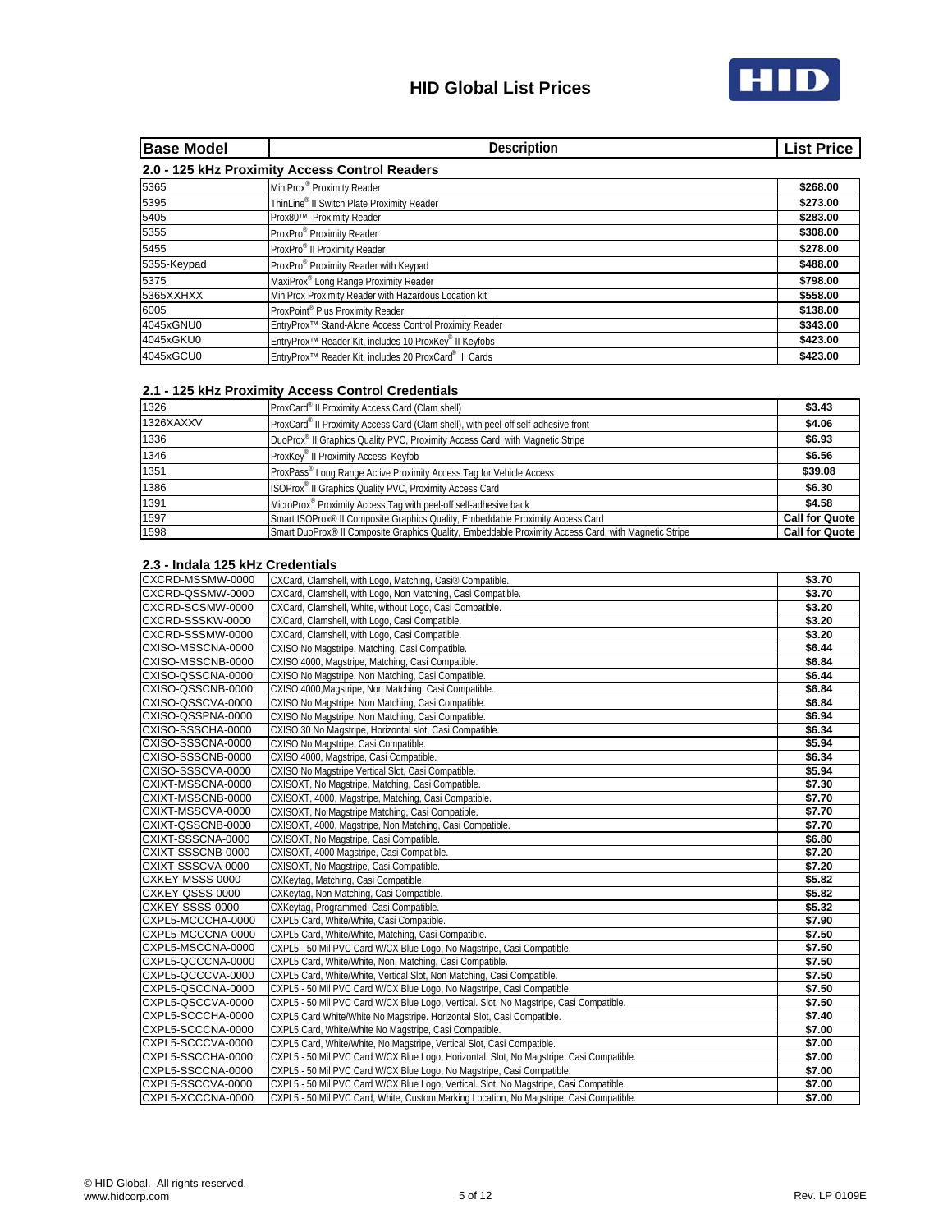

| <b>Base Model</b> | <b>Description</b>                                                             | <b>List Price</b> |
|-------------------|--------------------------------------------------------------------------------|-------------------|
|                   | 2.0 - 125 kHz Proximity Access Control Readers                                 |                   |
| 5365              | MiniProx® Proximity Reader                                                     | \$268.00          |
| 5395              | ThinLine® II Switch Plate Proximity Reader                                     | \$273.00          |
| 5405              | Prox80™ Proximity Reader                                                       | \$283.00          |
| 5355              | ProxPro® Proximity Reader                                                      | \$308.00          |
| 5455              | ProxPro <sup>®</sup> II Proximity Reader                                       | \$278.00          |
| 5355-Keypad       | ProxPro® Proximity Reader with Keypad                                          | \$488.00          |
| 5375              | MaxiProx® Long Range Proximity Reader                                          | \$798.00          |
| 5365XXHXX         | MiniProx Proximity Reader with Hazardous Location kit                          | \$558.00          |
| 6005              | ProxPoint® Plus Proximity Reader                                               | \$138.00          |
| 4045xGNU0         | EntryProx <sup>™</sup> Stand-Alone Access Control Proximity Reader             | \$343.00          |
| 4045xGKU0         | EntryProx <sup>™</sup> Reader Kit, includes 10 ProxKey <sup>®</sup> II Keyfobs | \$423.00          |
| 4045xGCU0         | EntryProx <sup>™</sup> Reader Kit, includes 20 ProxCard® II Cards              | \$423.00          |

#### **2.1 - 125 kHz Proximity Access Control Credentials**

| 1326      | ProxCard <sup>®</sup> II Proximity Access Card (Clam shell)                                          | \$3.43                |
|-----------|------------------------------------------------------------------------------------------------------|-----------------------|
| 1326XAXXV | ProxCard® II Proximity Access Card (Clam shell), with peel-off self-adhesive front                   | \$4.06                |
| 1336      | DuoProx® II Graphics Quality PVC, Proximity Access Card, with Magnetic Stripe                        | \$6.93                |
| 1346      | ProxKey <sup>®</sup> II Proximity Access Keyfob                                                      | \$6.56                |
| 1351      | ProxPass® Long Range Active Proximity Access Tag for Vehicle Access                                  | \$39.08               |
| 1386      | ISOProx <sup>®</sup> II Graphics Quality PVC, Proximity Access Card                                  | \$6.30                |
| 1391      | MicroProx <sup>®</sup> Proximity Access Tag with peel-off self-adhesive back                         | \$4.58                |
| 1597      | Smart ISOProx <sup>®</sup> II Composite Graphics Quality, Embeddable Proximity Access Card           | <b>Call for Quote</b> |
| 1598      | Smart DuoProx® II Composite Graphics Quality, Embeddable Proximity Access Card, with Magnetic Stripe | <b>Call for Quote</b> |

#### **2.3 - Indala 125 kHz Credentials**

| CXCRD-MSSMW-0000  | CXCard, Clamshell, with Logo, Matching, Casi® Compatible.                                | \$3.70 |
|-------------------|------------------------------------------------------------------------------------------|--------|
| CXCRD-QSSMW-0000  | CXCard, Clamshell, with Logo, Non Matching, Casi Compatible.                             | \$3.70 |
| CXCRD-SCSMW-0000  | CXCard, Clamshell, White, without Logo, Casi Compatible.                                 | \$3.20 |
| CXCRD-SSSKW-0000  | CXCard, Clamshell, with Logo, Casi Compatible.                                           | \$3.20 |
| CXCRD-SSSMW-0000  | CXCard, Clamshell, with Logo, Casi Compatible.                                           | \$3.20 |
| CXISO-MSSCNA-0000 | CXISO No Magstripe, Matching, Casi Compatible.                                           | \$6.44 |
| CXISO-MSSCNB-0000 | CXISO 4000, Magstripe, Matching, Casi Compatible.                                        | \$6.84 |
| CXISO-QSSCNA-0000 | CXISO No Magstripe, Non Matching, Casi Compatible.                                       | \$6.44 |
| CXISO-QSSCNB-0000 | CXISO 4000, Magstripe, Non Matching, Casi Compatible.                                    | \$6.84 |
| CXISO-QSSCVA-0000 | CXISO No Magstripe, Non Matching, Casi Compatible.                                       | \$6.84 |
| CXISO-QSSPNA-0000 | CXISO No Magstripe, Non Matching, Casi Compatible.                                       | \$6.94 |
| CXISO-SSSCHA-0000 | CXISO 30 No Magstripe, Horizontal slot, Casi Compatible.                                 | \$6.34 |
| CXISO-SSSCNA-0000 | CXISO No Magstripe, Casi Compatible.                                                     | \$5.94 |
| CXISO-SSSCNB-0000 | CXISO 4000, Magstripe, Casi Compatible.                                                  | \$6.34 |
| CXISO-SSSCVA-0000 | CXISO No Magstripe Vertical Slot, Casi Compatible.                                       | \$5.94 |
| CXIXT-MSSCNA-0000 | CXISOXT, No Magstripe, Matching, Casi Compatible.                                        | \$7.30 |
| CXIXT-MSSCNB-0000 | CXISOXT, 4000, Magstripe, Matching, Casi Compatible.                                     | \$7.70 |
| CXIXT-MSSCVA-0000 | CXISOXT, No Magstripe Matching, Casi Compatible.                                         | \$7.70 |
| CXIXT-QSSCNB-0000 | CXISOXT, 4000, Magstripe, Non Matching, Casi Compatible.                                 | \$7.70 |
| CXIXT-SSSCNA-0000 | CXISOXT, No Magstripe, Casi Compatible.                                                  | \$6.80 |
| CXIXT-SSSCNB-0000 | CXISOXT, 4000 Magstripe, Casi Compatible.                                                | \$7.20 |
| CXIXT-SSSCVA-0000 | CXISOXT, No Magstripe, Casi Compatible.                                                  | \$7.20 |
| CXKEY-MSSS-0000   | CXKeytag, Matching, Casi Compatible.                                                     | \$5.82 |
| CXKEY-QSSS-0000   | CXKeytag, Non Matching, Casi Compatible.                                                 | \$5.82 |
| CXKEY-SSSS-0000   | CXKeytag, Programmed, Casi Compatible.                                                   | \$5.32 |
| CXPL5-MCCCHA-0000 | CXPL5 Card, White/White, Casi Compatible.                                                | \$7.90 |
| CXPL5-MCCCNA-0000 | CXPL5 Card, White/White, Matching, Casi Compatible.                                      | \$7.50 |
| CXPL5-MSCCNA-0000 | CXPL5 - 50 Mil PVC Card W/CX Blue Logo, No Magstripe, Casi Compatible.                   | \$7.50 |
| CXPL5-QCCCNA-0000 | CXPL5 Card, White/White, Non, Matching, Casi Compatible.                                 | \$7.50 |
| CXPL5-QCCCVA-0000 | CXPL5 Card, White/White, Vertical Slot, Non Matching, Casi Compatible.                   | \$7.50 |
| CXPL5-QSCCNA-0000 | CXPL5 - 50 Mil PVC Card W/CX Blue Logo, No Magstripe, Casi Compatible.                   | \$7.50 |
| CXPL5-QSCCVA-0000 | CXPL5 - 50 Mil PVC Card W/CX Blue Logo, Vertical. Slot, No Magstripe, Casi Compatible.   | \$7.50 |
| CXPL5-SCCCHA-0000 | CXPL5 Card White/White No Magstripe. Horizontal Slot, Casi Compatible.                   | \$7.40 |
| CXPL5-SCCCNA-0000 | CXPL5 Card, White/White No Magstripe, Casi Compatible.                                   | \$7.00 |
| CXPL5-SCCCVA-0000 | CXPL5 Card, White/White, No Magstripe, Vertical Slot, Casi Compatible.                   | \$7.00 |
| CXPL5-SSCCHA-0000 | CXPL5 - 50 Mil PVC Card W/CX Blue Logo, Horizontal. Slot, No Magstripe, Casi Compatible. | \$7.00 |
| CXPL5-SSCCNA-0000 | CXPL5 - 50 Mil PVC Card W/CX Blue Logo, No Magstripe, Casi Compatible.                   | \$7.00 |
| CXPL5-SSCCVA-0000 | CXPL5 - 50 Mil PVC Card W/CX Blue Logo, Vertical. Slot, No Magstripe, Casi Compatible.   | \$7.00 |
| CXPL5-XCCCNA-0000 | CXPL5 - 50 Mil PVC Card. White. Custom Marking Location. No Magstripe. Casi Compatible.  | \$7.00 |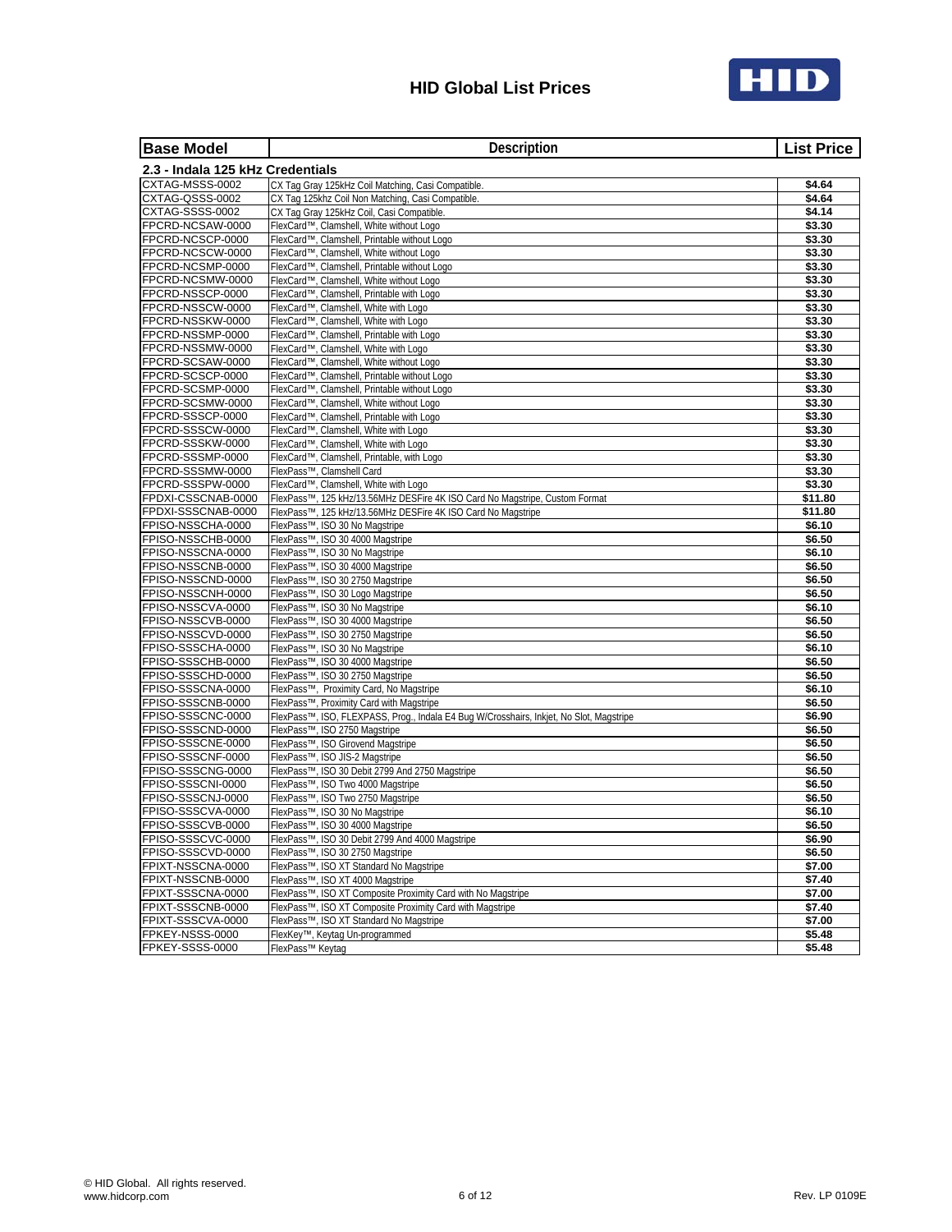

| <b>Base Model</b>                      | Description                                                                                                                         | <b>List Price</b> |
|----------------------------------------|-------------------------------------------------------------------------------------------------------------------------------------|-------------------|
| 2.3 - Indala 125 kHz Credentials       |                                                                                                                                     |                   |
| CXTAG-MSSS-0002                        | CX Tag Gray 125kHz Coil Matching, Casi Compatible.                                                                                  | \$4.64            |
| CXTAG-QSSS-0002                        | CX Tag 125khz Coil Non Matching, Casi Compatible.                                                                                   | \$4.64            |
| CXTAG-SSSS-0002                        | CX Tag Gray 125kHz Coil, Casi Compatible.                                                                                           | \$4.14            |
| FPCRD-NCSAW-0000                       | FlexCard™, Clamshell, White without Logo                                                                                            | \$3.30            |
| FPCRD-NCSCP-0000                       | FlexCard™, Clamshell, Printable without Logo                                                                                        | \$3.30            |
| FPCRD-NCSCW-0000                       | FlexCard™, Clamshell, White without Logo                                                                                            | \$3.30            |
| FPCRD-NCSMP-0000                       | FlexCard™, Clamshell, Printable without Logo                                                                                        | \$3.30            |
| FPCRD-NCSMW-0000                       | FlexCard™, Clamshell, White without Logo                                                                                            | \$3.30            |
| FPCRD-NSSCP-0000                       | FlexCard™, Clamshell, Printable with Logo                                                                                           | \$3.30            |
| FPCRD-NSSCW-0000<br>FPCRD-NSSKW-0000   | FlexCard™, Clamshell, White with Logo<br>FlexCard™, Clamshell, White with Logo                                                      | 53.30<br>\$3.30   |
| FPCRD-NSSMP-0000                       | FlexCard™, Clamshell, Printable with Logo                                                                                           | \$3.30            |
| FPCRD-NSSMW-0000                       | FlexCard™, Clamshell, White with Logo                                                                                               | \$3.30            |
| FPCRD-SCSAW-0000                       | FlexCard™, Clamshell, White without Logo                                                                                            | \$3.30            |
| FPCRD-SCSCP-0000                       | FlexCard™, Clamshell, Printable without Logo                                                                                        | \$3.30            |
| FPCRD-SCSMP-0000                       | FlexCard™, Clamshell, Printable without Logo                                                                                        | \$3.30            |
| FPCRD-SCSMW-0000                       | FlexCard™, Clamshell, White without Logo                                                                                            | \$3.30            |
| FPCRD-SSSCP-0000                       | FlexCard™, Clamshell, Printable with Logo                                                                                           | \$3.30            |
| FPCRD-SSSCW-0000                       | FlexCard™, Clamshell, White with Logo                                                                                               | \$3.30            |
| FPCRD-SSSKW-0000                       | FlexCard™, Clamshell, White with Logo                                                                                               | \$3.30            |
| FPCRD-SSSMP-0000                       | FlexCard™, Clamshell, Printable, with Logo                                                                                          | \$3.30            |
| FPCRD-SSSMW-0000                       | FlexPass™, Clamshell Card                                                                                                           | \$3.30            |
| FPCRD-SSSPW-0000                       | FlexCard™, Clamshell, White with Logo                                                                                               | \$3.30            |
| FPDXI-CSSCNAB-0000                     | FlexPass™, 125 kHz/13.56MHz DESFire 4K ISO Card No Magstripe, Custom Format                                                         | \$11.80           |
| FPDXI-SSSCNAB-0000                     | FlexPass <sup>TM</sup> , 125 kHz/13.56MHz DESFire 4K ISO Card No Magstripe                                                          | \$11.80           |
| FPISO-NSSCHA-0000                      | FlexPass™, ISO 30 No Magstripe                                                                                                      | \$6.10            |
| FPISO-NSSCHB-0000                      | FlexPass™, ISO 30 4000 Magstripe                                                                                                    | \$6.50            |
| FPISO-NSSCNA-0000                      | FlexPass™, ISO 30 No Magstripe                                                                                                      | \$6.10            |
| FPISO-NSSCNB-0000                      | FlexPass™, ISO 30 4000 Magstripe                                                                                                    | \$6.50            |
| FPISO-NSSCND-0000                      | FlexPass™, ISO 30 2750 Magstripe                                                                                                    | \$6.50            |
| FPISO-NSSCNH-0000                      | FlexPass™, ISO 30 Logo Magstripe                                                                                                    | \$6.50            |
| FPISO-NSSCVA-0000                      | FlexPass™, ISO 30 No Magstripe                                                                                                      | \$6.10            |
| FPISO-NSSCVB-0000                      | FlexPass™, ISO 30 4000 Magstripe                                                                                                    | \$6.50            |
| FPISO-NSSCVD-0000                      | FlexPass™, ISO 30 2750 Magstripe                                                                                                    | \$6.50            |
| FPISO-SSSCHA-0000                      | FlexPass™, ISO 30 No Magstripe                                                                                                      | \$6.10            |
| FPISO-SSSCHB-0000                      | FlexPass™, ISO 30 4000 Magstripe                                                                                                    | \$6.50            |
| FPISO-SSSCHD-0000<br>FPISO-SSSCNA-0000 | FlexPass™, ISO 30 2750 Magstripe                                                                                                    | \$6.50            |
| FPISO-SSSCNB-0000                      | FlexPass™, Proximity Card, No Magstripe                                                                                             | \$6.10<br>\$6.50  |
| FPISO-SSSCNC-0000                      | FlexPass™, Proximity Card with Magstripe<br>FlexPass™, ISO, FLEXPASS, Prog., Indala E4 Bug W/Crosshairs, Inkjet, No Slot, Magstripe | \$6.90            |
| FPISO-SSSCND-0000                      | FlexPass™, ISO 2750 Magstripe                                                                                                       | \$6.50            |
| FPISO-SSSCNE-0000                      | FlexPass™, ISO Girovend Magstripe                                                                                                   | \$6.50            |
| FPISO-SSSCNF-0000                      | FlexPass™, ISO JIS-2 Magstripe                                                                                                      | \$6.50            |
| FPISO-SSSCNG-0000                      | FlexPass™, ISO 30 Debit 2799 And 2750 Magstripe                                                                                     | \$6.50            |
| FPISO-SSSCNI-0000                      | FlexPass™, ISO Two 4000 Magstripe                                                                                                   | \$6.50            |
| FPISO-SSSCNJ-0000                      | FlexPass™, ISO Two 2750 Magstripe                                                                                                   | \$6.50            |
| FPISO-SSSCVA-0000                      | FlexPass™, ISO 30 No Magstripe                                                                                                      | \$6.10            |
| FPISO-SSSCVB-0000                      | FlexPass™, ISO 30 4000 Magstripe                                                                                                    | \$6.50            |
| FPISO-SSSCVC-0000                      | FlexPass™, ISO 30 Debit 2799 And 4000 Magstripe                                                                                     | \$6.90            |
| FPISO-SSSCVD-0000                      | FlexPass™, ISO 30 2750 Magstripe                                                                                                    | \$6.50            |
| FPIXT-NSSCNA-0000                      | FlexPass™, ISO XT Standard No Magstripe                                                                                             | \$7.00            |
| FPIXT-NSSCNB-0000                      | FlexPass™, ISO XT 4000 Magstripe                                                                                                    | \$7.40            |
| FPIXT-SSSCNA-0000                      | FlexPass™, ISO XT Composite Proximity Card with No Magstripe                                                                        | \$7.00            |
| FPIXT-SSSCNB-0000                      | FlexPass™, ISO XT Composite Proximity Card with Magstripe                                                                           | \$7.40            |
| FPIXT-SSSCVA-0000                      | FlexPass™, ISO XT Standard No Magstripe                                                                                             | \$7.00            |
| FPKEY-NSSS-0000                        | FlexKey™, Keytaq Un-programmed                                                                                                      | \$5.48            |
| FPKEY-SSSS-0000                        | FlexPass™ Keytag                                                                                                                    | \$5.48            |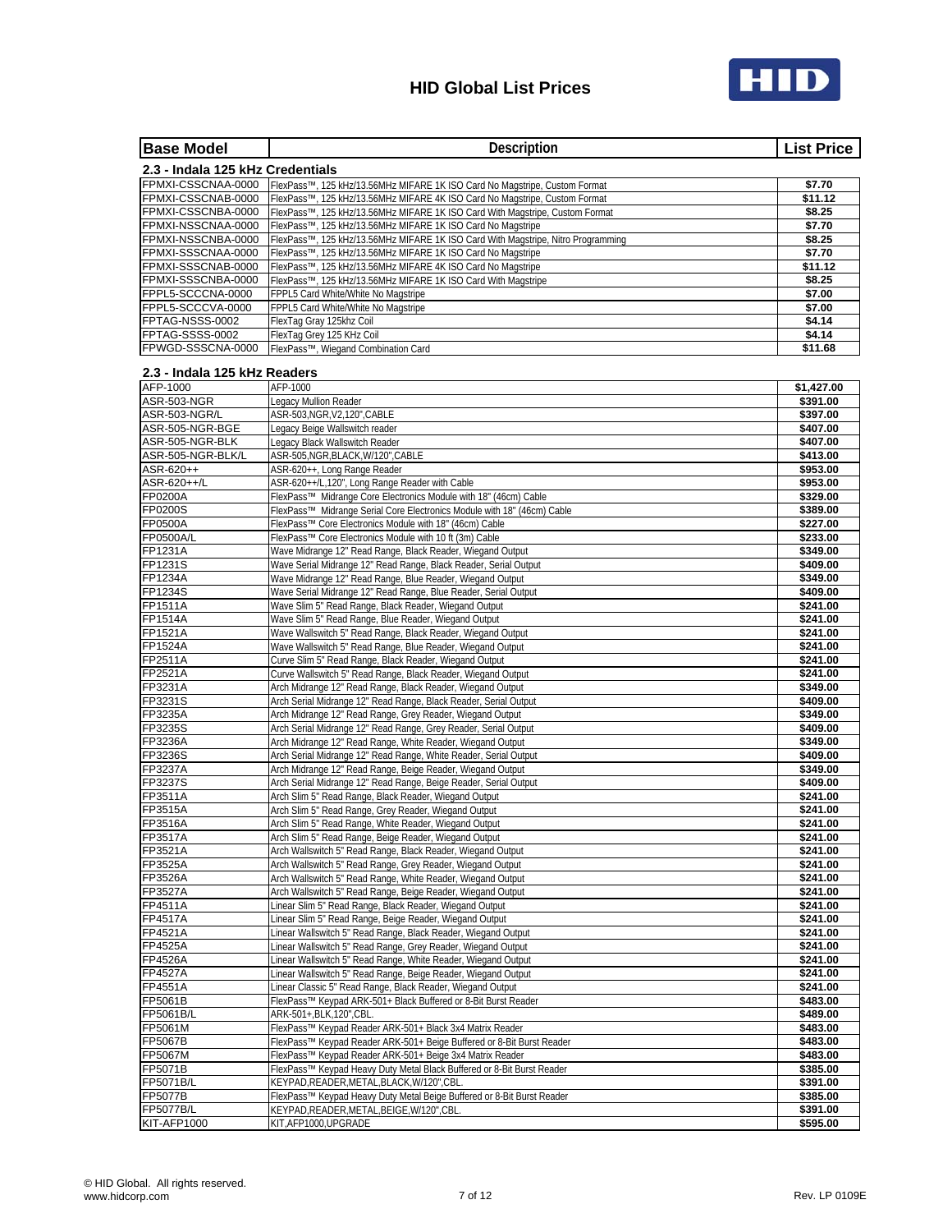

| <b>Base Model</b>                        | Description                                                                                                                                     | <b>List Price</b>    |
|------------------------------------------|-------------------------------------------------------------------------------------------------------------------------------------------------|----------------------|
| 2.3 - Indala 125 kHz Credentials         |                                                                                                                                                 |                      |
| FPMXI-CSSCNAA-0000                       | FlexPass™, 125 kHz/13.56MHz MIFARE 1K ISO Card No Magstripe, Custom Format                                                                      | \$7.70               |
| FPMXI-CSSCNAB-0000                       | FlexPass™, 125 kHz/13.56MHz MIFARE 4K ISO Card No Magstripe, Custom Format                                                                      | \$11.12              |
| FPMXI-CSSCNBA-0000                       | FlexPass™, 125 kHz/13.56MHz MIFARE 1K ISO Card With Magstripe, Custom Format                                                                    | \$8.25               |
| FPMXI-NSSCNAA-0000                       | FlexPass™, 125 kHz/13.56MHz MIFARE 1K ISO Card No Magstripe                                                                                     | \$7.70               |
| FPMXI-NSSCNBA-0000<br>FPMXI-SSSCNAA-0000 | FlexPass™, 125 kHz/13.56MHz MIFARE 1K ISO Card With Magstripe, Nitro Programming<br>FlexPass™, 125 kHz/13.56MHz MIFARE 1K ISO Card No Magstripe | \$8.25<br>\$7.70     |
| FPMXI-SSSCNAB-0000                       | FlexPass™, 125 kHz/13.56MHz MIFARE 4K ISO Card No Magstripe                                                                                     | \$11.12              |
| FPMXI-SSSCNBA-0000                       | FlexPass™, 125 kHz/13.56MHz MIFARE 1K ISO Card With Magstripe                                                                                   | \$8.25               |
| FPPL5-SCCCNA-0000                        | FPPL5 Card White/White No Magstripe                                                                                                             | \$7.00               |
| FPPL5-SCCCVA-0000                        | FPPL5 Card White/White No Magstripe                                                                                                             | \$7.00               |
| FPTAG-NSSS-0002                          | FlexTag Gray 125khz Coil                                                                                                                        | \$4.14               |
| FPTAG-SSSS-0002                          | FlexTag Grey 125 KHz Coil                                                                                                                       | \$4.14               |
| FPWGD-SSSCNA-0000                        | FlexPass™. Wiegand Combination Card                                                                                                             | \$11.68              |
| 2.3 - Indala 125 kHz Readers             |                                                                                                                                                 |                      |
| AFP-1000                                 | AFP-1000                                                                                                                                        | \$1,427.00           |
| ASR-503-NGR                              | Legacy Mullion Reader                                                                                                                           | \$391.00             |
| ASR-503-NGR/L                            | ASR-503, NGR, V2, 120", CABLE                                                                                                                   | \$397.00             |
| ASR-505-NGR-BGE                          | Legacy Beige Wallswitch reader                                                                                                                  | \$407.00             |
| ASR-505-NGR-BLK                          | egacy Black Wallswitch Reader                                                                                                                   | \$407.00             |
| ASR-505-NGR-BLK/L                        | ASR-505, NGR, BLACK, W/120", CABLE                                                                                                              | \$413.00             |
| ASR-620++                                | ASR-620++, Long Range Reader                                                                                                                    | \$953.00             |
| ASR-620++/L<br><b>FP0200A</b>            | ASR-620++/L,120", Long Range Reader with Cable                                                                                                  | \$953.00             |
| FP0200S                                  | FlexPass™ Midrange Core Electronics Module with 18" (46cm) Cable<br>FlexPass™ Midrange Serial Core Electronics Module with 18" (46cm) Cable     | \$329.00<br>\$389.00 |
| <b>FP0500A</b>                           | FlexPass™ Core Electronics Module with 18" (46cm) Cable                                                                                         | \$227.00             |
| <b>FP0500A/L</b>                         | FlexPass™ Core Electronics Module with 10 ft (3m) Cable                                                                                         | \$233.00             |
| FP1231A                                  | Wave Midrange 12" Read Range, Black Reader, Wiegand Output                                                                                      | \$349.00             |
| FP1231S                                  | Wave Serial Midrange 12" Read Range, Black Reader, Serial Output                                                                                | \$409.00             |
| FP1234A                                  | Wave Midrange 12" Read Range, Blue Reader, Wiegand Output                                                                                       | \$349.00             |
| FP1234S                                  | Wave Serial Midrange 12" Read Range, Blue Reader, Serial Output                                                                                 | \$409.00             |
| FP1511A                                  | Wave Slim 5" Read Range, Black Reader, Wiegand Output                                                                                           | \$241.00             |
| <b>FP1514A</b>                           | Wave Slim 5" Read Range, Blue Reader, Wiegand Output                                                                                            | \$241.00             |
| FP1521A                                  | Wave Wallswitch 5" Read Range, Black Reader, Wiegand Output                                                                                     | \$241.00             |
| FP1524A<br>FP2511A                       | Wave Wallswitch 5" Read Range, Blue Reader, Wiegand Output<br>Curve Slim 5" Read Range, Black Reader, Wiegand Output                            | \$241.00<br>\$241.00 |
| FP2521A                                  | Curve Wallswitch 5" Read Range, Black Reader, Wiegand Output                                                                                    | \$241.00             |
| FP3231A                                  | Arch Midrange 12" Read Range, Black Reader, Wiegand Output                                                                                      | \$349.00             |
| FP3231S                                  | Arch Serial Midrange 12" Read Range, Black Reader, Serial Output                                                                                | \$409.00             |
| FP3235A                                  | Arch Midrange 12" Read Range, Grey Reader, Wiegand Output                                                                                       | \$349.00             |
| FP3235S                                  | Arch Serial Midrange 12" Read Range, Grey Reader, Serial Output                                                                                 | \$409.00             |
| FP3236A                                  | Arch Midrange 12" Read Range, White Reader, Wiegand Output                                                                                      | \$349.00             |
| FP3236S                                  | Arch Serial Midrange 12" Read Range, White Reader, Serial Output                                                                                | \$409.00             |
| FP3237A                                  | Arch Midrange 12" Read Range, Beige Reader, Wiegand Output                                                                                      | \$349.00             |
| FP3237S                                  | Arch Serial Midrange 12" Read Range, Beige Reader, Serial Output                                                                                | \$409.00             |
| FP3511A                                  | Arch Slim 5" Read Range, Black Reader, Wiegand Output                                                                                           | \$241.00             |
| FP3515A<br>FP3516A                       | Arch Slim 5" Read Range, Grey Reader, Wiegand Output<br>Arch Slim 5" Read Range, White Reader, Wiegand Output                                   | \$241.00<br>\$241.00 |
| FP3517A                                  | Arch Slim 5" Read Range, Beige Reader, Wiegand Output                                                                                           | \$241.00             |
| FP3521A                                  | Arch Wallswitch 5" Read Range, Black Reader, Wiegand Output                                                                                     | \$241.00             |
| FP3525A                                  | Arch Wallswitch 5" Read Range, Grey Reader, Wiegand Output                                                                                      | \$241.00             |
| FP3526A                                  | Arch Wallswitch 5" Read Range, White Reader, Wiegand Output                                                                                     | \$241.00             |
| FP3527A                                  | Arch Wallswitch 5" Read Range, Beige Reader, Wiegand Output                                                                                     | \$241.00             |
| FP4511A                                  | Linear Slim 5" Read Range, Black Reader, Wiegand Output                                                                                         | \$241.00             |
| <b>FP4517A</b>                           | Linear Slim 5" Read Range, Beige Reader, Wiegand Output                                                                                         | \$241.00             |
| FP4521A                                  | Linear Wallswitch 5" Read Range, Black Reader, Wiegand Output                                                                                   | \$241.00             |
| FP4525A                                  | Linear Wallswitch 5" Read Range, Grey Reader, Wiegand Output                                                                                    | \$241.00             |
| FP4526A<br><b>FP4527A</b>                | Linear Wallswitch 5" Read Range, White Reader, Wiegand Output<br>Linear Wallswitch 5" Read Range, Beige Reader, Wiegand Output                  | \$241.00<br>\$241.00 |
| FP4551A                                  | Linear Classic 5" Read Range, Black Reader, Wiegand Output                                                                                      | \$241.00             |
| FP5061B                                  | FlexPass™ Keypad ARK-501+ Black Buffered or 8-Bit Burst Reader                                                                                  | \$483.00             |
| FP5061B/L                                | ARK-501+, BLK, 120", CBL.                                                                                                                       | \$489.00             |
| FP5061M                                  | FlexPass™ Keypad Reader ARK-501+ Black 3x4 Matrix Reader                                                                                        | \$483.00             |
| FP5067B                                  | FlexPass™ Keypad Reader ARK-501+ Beige Buffered or 8-Bit Burst Reader                                                                           | \$483.00             |
| FP5067M                                  | FlexPass™ Keypad Reader ARK-501+ Beige 3x4 Matrix Reader                                                                                        | \$483.00             |
| FP5071B                                  | FlexPass™ Keypad Heavy Duty Metal Black Buffered or 8-Bit Burst Reader                                                                          | \$385.00             |
| FP5071B/L                                | KEYPAD,READER,METAL,BLACK,W/120",CBL                                                                                                            | \$391.00             |
| <b>FP5077B</b>                           | FlexPass™ Keypad Heavy Duty Metal Beige Buffered or 8-Bit Burst Reader                                                                          | \$385.00             |
| <b>FP5077B/L</b><br>KIT-AFP1000          | KEYPAD, READER, METAL, BEIGE, W/120", CBL.<br>KIT, AFP1000, UPGRADE                                                                             | \$391.00             |
|                                          |                                                                                                                                                 | \$595.00             |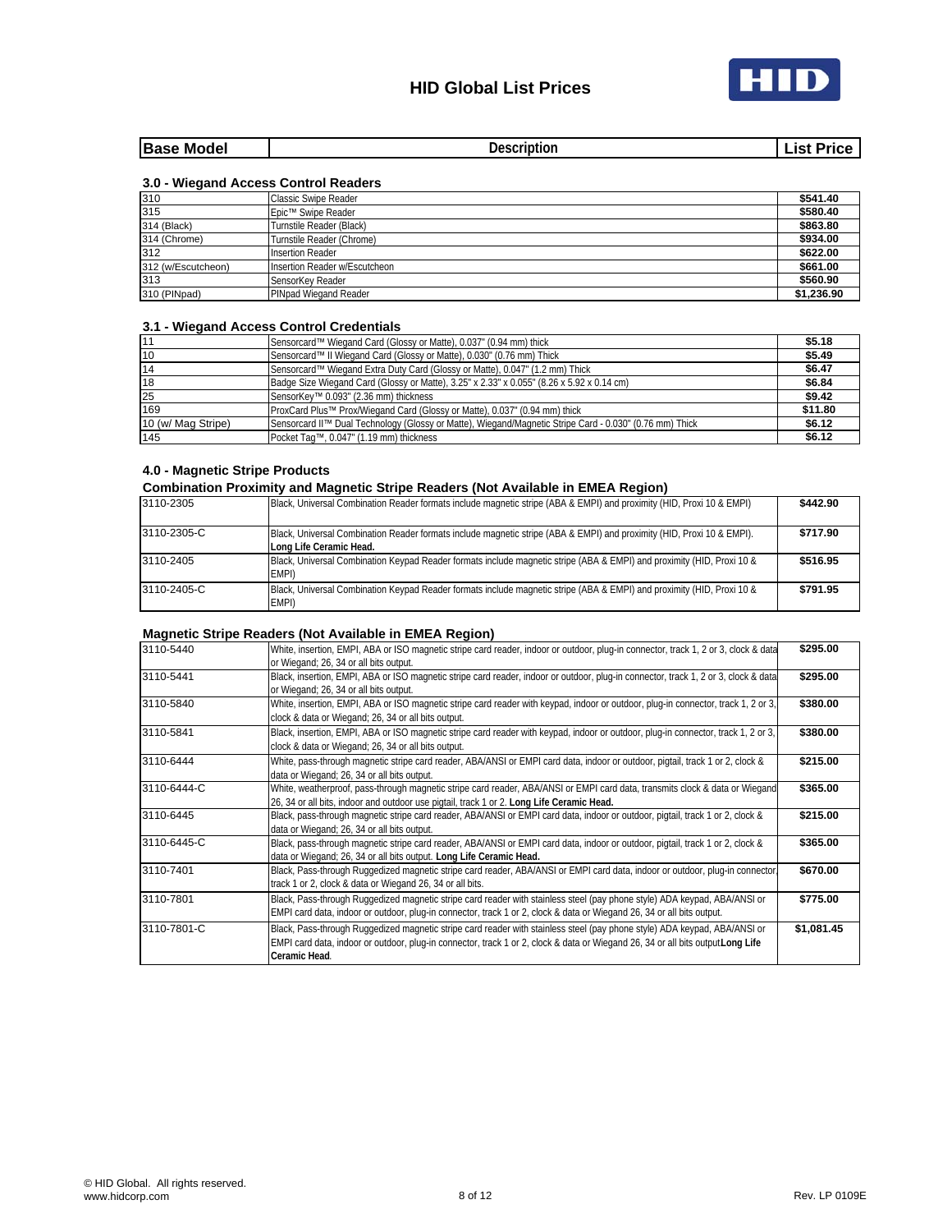

| .<br>.<br>______ | <b>IBase</b><br>Model | .<br>۱∩۰ | ----<br>чo. | ıc |
|------------------|-----------------------|----------|-------------|----|
|------------------|-----------------------|----------|-------------|----|

## **3.0 - Wiegand Access Control Readers**

| 310                | Classic Swipe Reader          | \$541.40   |
|--------------------|-------------------------------|------------|
| 315                | Epic™ Swipe Reader            | \$580.40   |
| 314 (Black)        | Turnstile Reader (Black)      | \$863.80   |
| 314 (Chrome)       | Turnstile Reader (Chrome)     | \$934.00   |
| 312                | <b>Insertion Reader</b>       | \$622.00   |
| 312 (w/Escutcheon) | Insertion Reader w/Escutcheon | \$661.00   |
| 313                | SensorKey Reader              | \$560.90   |
| 310 (PINpad)       | PINpad Wiegand Reader         | \$1,236.90 |

### **3.1 - Wiegand Access Control Credentials**

| 11                 | Sensorcard™ Wiegand Card (Glossy or Matte), 0.037" (0.94 mm) thick                                      | \$5.18  |
|--------------------|---------------------------------------------------------------------------------------------------------|---------|
| 10                 | Sensorcard™ II Wiegand Card (Glossy or Matte), 0.030" (0.76 mm) Thick                                   | \$5.49  |
| 14                 | Sensorcard™ Wiegand Extra Duty Card (Glossy or Matte), 0.047" (1.2 mm) Thick                            | \$6.47  |
| 18                 | Badge Size Wiegand Card (Glossy or Matte), 3.25" x 2.33" x 0.055" (8.26 x 5.92 x 0.14 cm)               | \$6.84  |
| 25                 | SensorKey™ 0.093" (2.36 mm) thickness                                                                   | \$9.42  |
| 169                | ProxCard Plus™ Prox/Wiegand Card (Glossy or Matte), 0.037" (0.94 mm) thick                              | \$11.80 |
| 10 (w/ Mag Stripe) | Sensorcard II™ Dual Technology (Glossy or Matte), Wiegand/Magnetic Stripe Card - 0.030" (0.76 mm) Thick | \$6.12  |
| 145                | Pocket Taq™, 0.047" (1.19 mm) thickness                                                                 | \$6.12  |

### **4.0 - Magnetic Stripe Products**

## **Combination Proximity and Magnetic Stripe Readers (Not Available in EMEA Region)**

| 3110-2305   | Black, Universal Combination Reader formats include magnetic stripe (ABA & EMPI) and proximity (HID, Proxi 10 & EMPI)                             | \$442.90 |
|-------------|---------------------------------------------------------------------------------------------------------------------------------------------------|----------|
| 3110-2305-C | Black, Universal Combination Reader formats include magnetic stripe (ABA & EMPI) and proximity (HID, Proxi 10 & EMPI).<br>Long Life Ceramic Head. | \$717.90 |
| 3110-2405   | Black, Universal Combination Keypad Reader formats include magnetic stripe (ABA & EMPI) and proximity (HID, Proxi 10 &<br>EMPI)                   | \$516.95 |
| 3110-2405-C | Black, Universal Combination Keypad Reader formats include magnetic stripe (ABA & EMPI) and proximity (HID, Proxi 10 &<br>EMPI)                   | \$791.95 |

### **Magnetic Stripe Readers (Not Available in EMEA Region)**

| 3110-5440   | White, insertion, EMPI, ABA or ISO magnetic stripe card reader, indoor or outdoor, plug-in connector, track 1, 2 or 3, clock & data | \$295.00   |
|-------------|-------------------------------------------------------------------------------------------------------------------------------------|------------|
|             | or Wiegand; 26, 34 or all bits output.                                                                                              |            |
| 3110-5441   | Black, insertion, EMPI, ABA or ISO magnetic stripe card reader, indoor or outdoor, plug-in connector, track 1, 2 or 3, clock & data | \$295.00   |
|             | or Wiegand; 26, 34 or all bits output.                                                                                              |            |
| 3110-5840   | White, insertion, EMPI, ABA or ISO magnetic stripe card reader with keypad, indoor or outdoor, plug-in connector, track 1, 2 or 3,  | \$380.00   |
|             | clock & data or Wiegand; 26, 34 or all bits output.                                                                                 |            |
| 3110-5841   | Black, insertion, EMPI, ABA or ISO magnetic stripe card reader with keypad, indoor or outdoor, plug-in connector, track 1, 2 or 3,  | \$380.00   |
|             | clock & data or Wiegand; 26, 34 or all bits output.                                                                                 |            |
| 3110-6444   | White, pass-through magnetic stripe card reader, ABA/ANSI or EMPI card data, indoor or outdoor, pigtail, track 1 or 2, clock &      | \$215.00   |
|             | data or Wiegand; 26, 34 or all bits output.                                                                                         |            |
| 3110-6444-C | White, weatherproof, pass-through magnetic stripe card reader, ABA/ANSI or EMPI card data, transmits clock & data or Wiegand        | \$365.00   |
|             | 26, 34 or all bits, indoor and outdoor use pigtail, track 1 or 2. Long Life Ceramic Head.                                           |            |
| 3110-6445   | Black, pass-through magnetic stripe card reader, ABA/ANSI or EMPI card data, indoor or outdoor, pigtail, track 1 or 2, clock &      | \$215.00   |
|             | data or Wiegand; 26, 34 or all bits output.                                                                                         |            |
| 3110-6445-C | Black, pass-through magnetic stripe card reader, ABA/ANSI or EMPI card data, indoor or outdoor, pigtail, track 1 or 2, clock &      | \$365.00   |
|             | data or Wiegand; 26, 34 or all bits output. Long Life Ceramic Head.                                                                 |            |
| 3110-7401   | Black, Pass-through Ruggedized magnetic stripe card reader, ABA/ANSI or EMPI card data, indoor or outdoor, plug-in connector        | \$670.00   |
|             | track 1 or 2, clock & data or Wiegand 26, 34 or all bits.                                                                           |            |
| 3110-7801   | Black, Pass-through Ruggedized magnetic stripe card reader with stainless steel (pay phone style) ADA keypad, ABA/ANSI or           | \$775.00   |
|             | EMPI card data, indoor or outdoor, plug-in connector, track 1 or 2, clock & data or Wiegand 26, 34 or all bits output.              |            |
| 3110-7801-C | Black, Pass-through Ruggedized magnetic stripe card reader with stainless steel (pay phone style) ADA keypad, ABA/ANSI or           | \$1,081.45 |
|             | EMPI card data, indoor or outdoor, plug-in connector, track 1 or 2, clock & data or Wiegand 26, 34 or all bits output Long Life     |            |
|             | Ceramic Head.                                                                                                                       |            |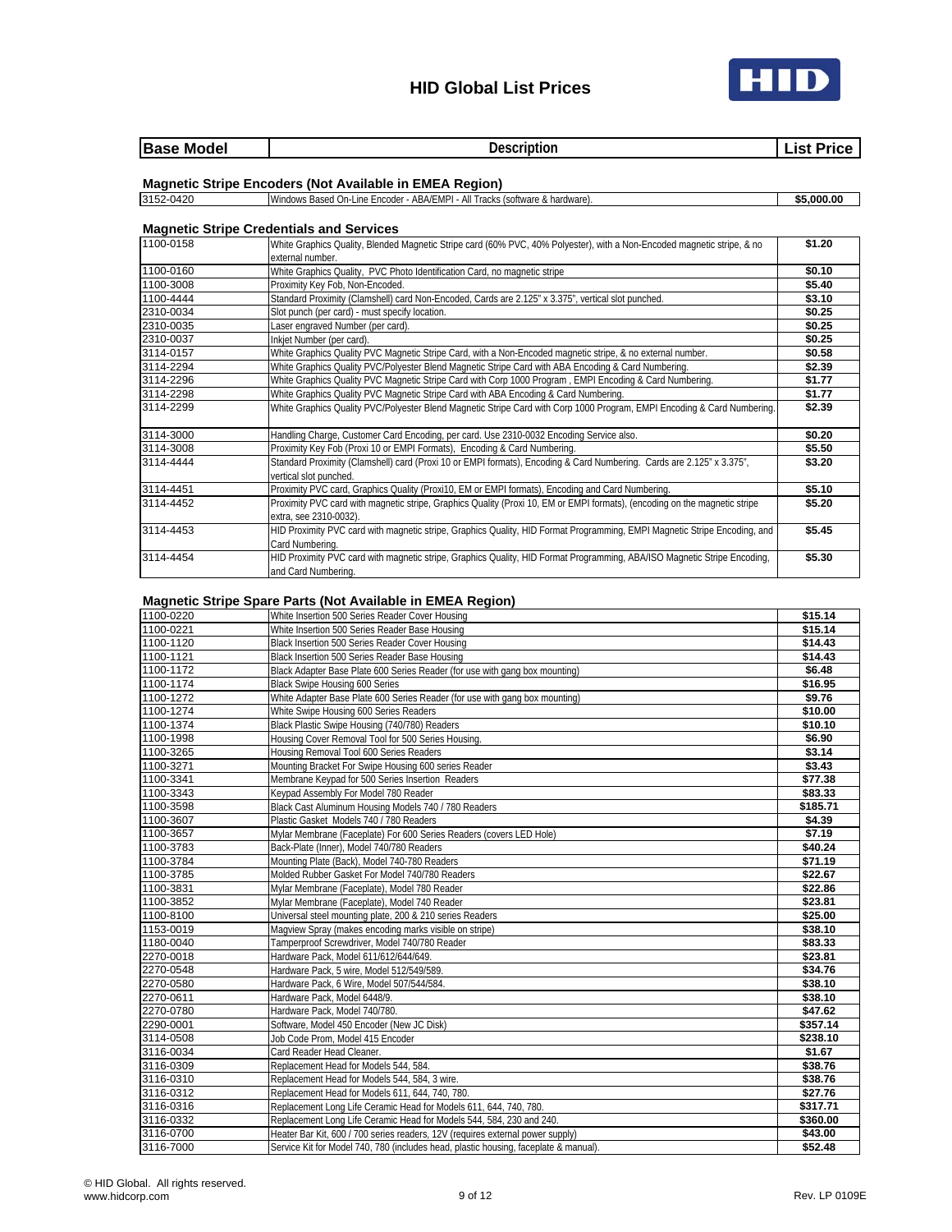



| <b>Base</b><br>Model<br>____ | Description<br>.<br>. |  |
|------------------------------|-----------------------|--|
|                              |                       |  |

#### **Magnetic Stripe Encoders (Not Available in EMEA Region)**

#### 3152-0420 Windows Based On-Line Encoder - ABA/EMPI - All Tracks (software & hardware). **\$5,000.00**

#### **Magnetic Stripe Credentials and Services**

| 1100-0158 | White Graphics Quality, Blended Magnetic Stripe card (60% PVC, 40% Polyester), with a Non-Encoded magnetic stripe, & no                         | \$1.20 |
|-----------|-------------------------------------------------------------------------------------------------------------------------------------------------|--------|
|           | external number.                                                                                                                                |        |
| 1100-0160 | White Graphics Quality, PVC Photo Identification Card, no magnetic stripe                                                                       | \$0.10 |
| 1100-3008 | Proximity Key Fob, Non-Encoded.                                                                                                                 | \$5.40 |
| 1100-4444 | Standard Proximity (Clamshell) card Non-Encoded, Cards are 2.125" x 3.375", vertical slot punched.                                              | \$3.10 |
| 2310-0034 | Slot punch (per card) - must specify location.                                                                                                  | \$0.25 |
| 2310-0035 | Laser engraved Number (per card).                                                                                                               | \$0.25 |
| 2310-0037 | Inkjet Number (per card).                                                                                                                       | \$0.25 |
| 3114-0157 | White Graphics Quality PVC Magnetic Stripe Card, with a Non-Encoded magnetic stripe, & no external number.                                      | \$0.58 |
| 3114-2294 | White Graphics Quality PVC/Polyester Blend Magnetic Stripe Card with ABA Encoding & Card Numbering.                                             | \$2.39 |
| 3114-2296 | White Graphics Quality PVC Magnetic Stripe Card with Corp 1000 Program, EMPI Encoding & Card Numbering.                                         | \$1.77 |
| 3114-2298 | White Graphics Quality PVC Magnetic Stripe Card with ABA Encoding & Card Numbering.                                                             | \$1.77 |
| 3114-2299 | White Graphics Quality PVC/Polyester Blend Magnetic Stripe Card with Corp 1000 Program, EMPI Encoding & Card Numbering.                         | \$2.39 |
| 3114-3000 | Handling Charge, Customer Card Encoding, per card. Use 2310-0032 Encoding Service also.                                                         | \$0.20 |
| 3114-3008 | Proximity Key Fob (Proxi 10 or EMPI Formats), Encoding & Card Numbering.                                                                        | \$5.50 |
| 3114-4444 | Standard Proximity (Clamshell) card (Proxi 10 or EMPI formats), Encoding & Card Numbering. Cards are 2.125" x 3.375",<br>vertical slot punched. | \$3.20 |
| 3114-4451 | Proximity PVC card, Graphics Quality (Proxi10, EM or EMPI formats), Encoding and Card Numbering.                                                | \$5.10 |
| 3114-4452 | Proximity PVC card with magnetic stripe, Graphics Quality (Proxi 10, EM or EMPI formats), (encoding on the magnetic stripe                      | \$5.20 |
|           | extra, see 2310-0032).                                                                                                                          |        |
| 3114-4453 | HID Proximity PVC card with magnetic stripe, Graphics Quality, HID Format Programming, EMPI Magnetic Stripe Encoding, and                       | \$5.45 |
|           | Card Numbering.                                                                                                                                 |        |
| 3114-4454 | HID Proximity PVC card with magnetic stripe, Graphics Quality, HID Format Programming, ABA/ISO Magnetic Stripe Encoding,<br>and Card Numbering. | \$5.30 |

#### **Magnetic Stripe Spare Parts (Not Available in EMEA Region)**

| 1100-0220 | White Insertion 500 Series Reader Cover Housing                                      | \$15.14  |
|-----------|--------------------------------------------------------------------------------------|----------|
| 1100-0221 | White Insertion 500 Series Reader Base Housing                                       | \$15.14  |
| 1100-1120 | Black Insertion 500 Series Reader Cover Housing                                      | \$14.43  |
| 1100-1121 | Black Insertion 500 Series Reader Base Housing                                       | \$14.43  |
| 1100-1172 | Black Adapter Base Plate 600 Series Reader (for use with gang box mounting)          | \$6.48   |
| 1100-1174 | Black Swipe Housing 600 Series                                                       | \$16.95  |
| 1100-1272 | White Adapter Base Plate 600 Series Reader (for use with gang box mounting)          | \$9.76   |
| 1100-1274 | White Swipe Housing 600 Series Readers                                               | \$10.00  |
| 1100-1374 | Black Plastic Swipe Housing (740/780) Readers                                        | \$10.10  |
| 1100-1998 | Housing Cover Removal Tool for 500 Series Housing.                                   | \$6.90   |
| 1100-3265 | Housing Removal Tool 600 Series Readers                                              | \$3.14   |
| 1100-3271 | Mounting Bracket For Swipe Housing 600 series Reader                                 | \$3.43   |
| 1100-3341 | Membrane Keypad for 500 Series Insertion Readers                                     | \$77.38  |
| 1100-3343 | Keypad Assembly For Model 780 Reader                                                 | \$83.33  |
| 1100-3598 | Black Cast Aluminum Housing Models 740 / 780 Readers                                 | \$185.71 |
| 1100-3607 | Plastic Gasket Models 740 / 780 Readers                                              | \$4.39   |
| 1100-3657 | Mylar Membrane (Faceplate) For 600 Series Readers (covers LED Hole)                  | \$7.19   |
| 1100-3783 | Back-Plate (Inner), Model 740/780 Readers                                            | \$40.24  |
| 1100-3784 | Mounting Plate (Back), Model 740-780 Readers                                         | \$71.19  |
| 1100-3785 | Molded Rubber Gasket For Model 740/780 Readers                                       | \$22.67  |
| 1100-3831 | Mylar Membrane (Faceplate), Model 780 Reader                                         | \$22.86  |
| 1100-3852 | Mylar Membrane (Faceplate), Model 740 Reader                                         | \$23.81  |
| 1100-8100 | Universal steel mounting plate, 200 & 210 series Readers                             | \$25.00  |
| 1153-0019 | Magview Spray (makes encoding marks visible on stripe)                               | \$38.10  |
| 1180-0040 | Tamperproof Screwdriver, Model 740/780 Reader                                        | \$83.33  |
| 2270-0018 | Hardware Pack, Model 611/612/644/649.                                                | \$23.81  |
| 2270-0548 | Hardware Pack, 5 wire, Model 512/549/589.                                            | \$34.76  |
| 2270-0580 | Hardware Pack, 6 Wire, Model 507/544/584.                                            | \$38.10  |
| 2270-0611 | Hardware Pack, Model 6448/9.                                                         | \$38.10  |
| 2270-0780 | Hardware Pack, Model 740/780.                                                        | \$47.62  |
| 2290-0001 | Software, Model 450 Encoder (New JC Disk)                                            | \$357.14 |
| 3114-0508 | Job Code Prom, Model 415 Encoder                                                     | \$238.10 |
| 3116-0034 | Card Reader Head Cleaner.                                                            | \$1.67   |
| 3116-0309 | Replacement Head for Models 544, 584.                                                | \$38.76  |
| 3116-0310 | Replacement Head for Models 544, 584, 3 wire.                                        | \$38.76  |
| 3116-0312 | Replacement Head for Models 611, 644, 740, 780.                                      | \$27.76  |
| 3116-0316 | Replacement Long Life Ceramic Head for Models 611, 644, 740, 780.                    | \$317.71 |
| 3116-0332 | Replacement Long Life Ceramic Head for Models 544, 584, 230 and 240.                 | \$360.00 |
| 3116-0700 | Heater Bar Kit, 600 / 700 series readers, 12V (requires external power supply)       | \$43.00  |
| 3116-7000 | Service Kit for Model 740, 780 (includes head, plastic housing, faceplate & manual). | \$52.48  |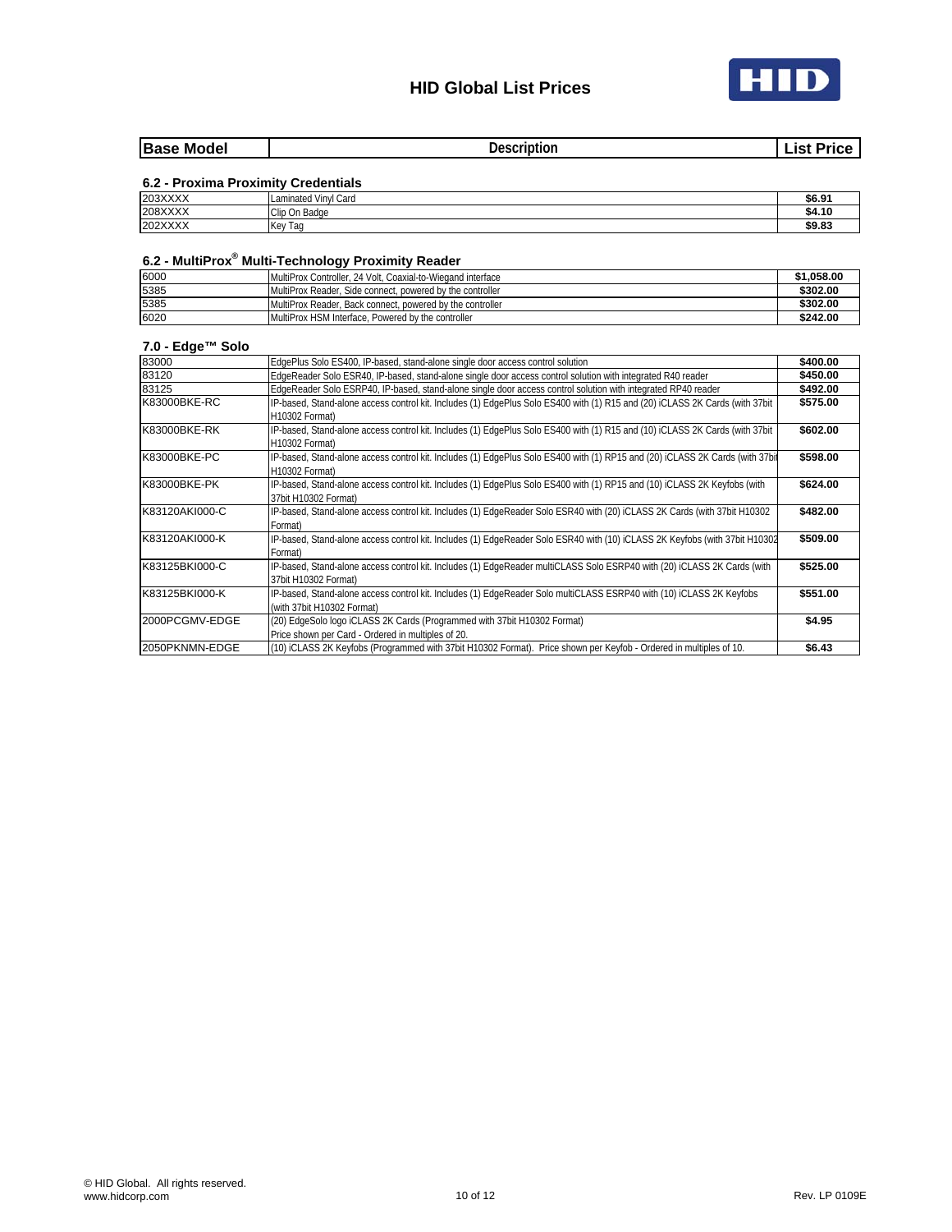

| <b>Base</b><br>Model<br>____<br>______ | . laccriptior<br>юı<br>. | 101<br>______ |
|----------------------------------------|--------------------------|---------------|
|                                        |                          |               |

## **6.2 - Proxima Proximity Credentials**

| 203XXXX | Card<br>Vinvl<br>Laminated              | \$6.91 |
|---------|-----------------------------------------|--------|
| 208XXXX | Clip On Badge                           | \$4.10 |
| 202XXXX | $\overline{\phantom{a}}$<br>Kev<br>l ao | \$9.83 |

#### **6.2 - MultiProx® Multi-Technology Proximity Reader**

| 6000 | - - -<br>MultiProx Controller, 24 Volt, Coaxial-to-Wiegand interface | \$1,058.00 |
|------|----------------------------------------------------------------------|------------|
| 5385 | MultiProx Reader. Side connect, powered by the controller            | \$302.00   |
| 5385 | MultiProx Reader. Back connect, powered by the controller            | \$302.00   |
| 6020 | MultiProx HSM Interface. Powered by the controller                   | \$242.00   |

### **7.0 - Edge™ Solo**

| 83000          | EdgePlus Solo ES400, IP-based, stand-alone single door access control solution                                                | \$400.00 |
|----------------|-------------------------------------------------------------------------------------------------------------------------------|----------|
| 83120          | EdgeReader Solo ESR40, IP-based, stand-alone single door access control solution with integrated R40 reader                   | \$450.00 |
| 83125          | EdgeReader Solo ESRP40, IP-based, stand-alone single door access control solution with integrated RP40 reader                 | \$492.00 |
| K83000BKE-RC   | IP-based, Stand-alone access control kit. Includes (1) EdgePlus Solo ES400 with (1) R15 and (20) iCLASS 2K Cards (with 37bit  | \$575.00 |
|                | H10302 Format)                                                                                                                |          |
| K83000BKE-RK   | IP-based, Stand-alone access control kit. Includes (1) EdgePlus Solo ES400 with (1) R15 and (10) iCLASS 2K Cards (with 37bit  | \$602.00 |
|                | H10302 Format)                                                                                                                |          |
| K83000BKE-PC   | IP-based, Stand-alone access control kit. Includes (1) EdgePlus Solo ES400 with (1) RP15 and (20) iCLASS 2K Cards (with 37bit | \$598.00 |
|                | H10302 Format)                                                                                                                |          |
| K83000BKE-PK   | IP-based, Stand-alone access control kit. Includes (1) EdgePlus Solo ES400 with (1) RP15 and (10) iCLASS 2K Keyfobs (with     | \$624.00 |
|                | 37bit H10302 Format)                                                                                                          |          |
| K83120AKI000-C | IP-based, Stand-alone access control kit. Includes (1) EdgeReader Solo ESR40 with (20) iCLASS 2K Cards (with 37bit H10302     | \$482.00 |
|                | Format)                                                                                                                       |          |
| K83120AKI000-K | IP-based, Stand-alone access control kit. Includes (1) EdgeReader Solo ESR40 with (10) iCLASS 2K Keyfobs (with 37bit H10302   | \$509.00 |
|                | Format)                                                                                                                       |          |
| K83125BKI000-C | IP-based, Stand-alone access control kit. Includes (1) EdgeReader multiCLASS Solo ESRP40 with (20) iCLASS 2K Cards (with      | \$525.00 |
|                | 37bit H10302 Format)                                                                                                          |          |
| K83125BKI000-K | IP-based, Stand-alone access control kit. Includes (1) EdgeReader Solo multiCLASS ESRP40 with (10) iCLASS 2K Keyfobs          | \$551.00 |
|                | (with 37bit H10302 Format)                                                                                                    |          |
| 2000PCGMV-EDGE | (20) EdgeSolo logo iCLASS 2K Cards (Programmed with 37bit H10302 Format)                                                      | \$4.95   |
|                | Price shown per Card - Ordered in multiples of 20.                                                                            |          |
| 2050PKNMN-EDGE | (10) ICLASS 2K Keyfobs (Programmed with 37bit H10302 Format). Price shown per Keyfob - Ordered in multiples of 10.            | \$6.43   |
|                |                                                                                                                               |          |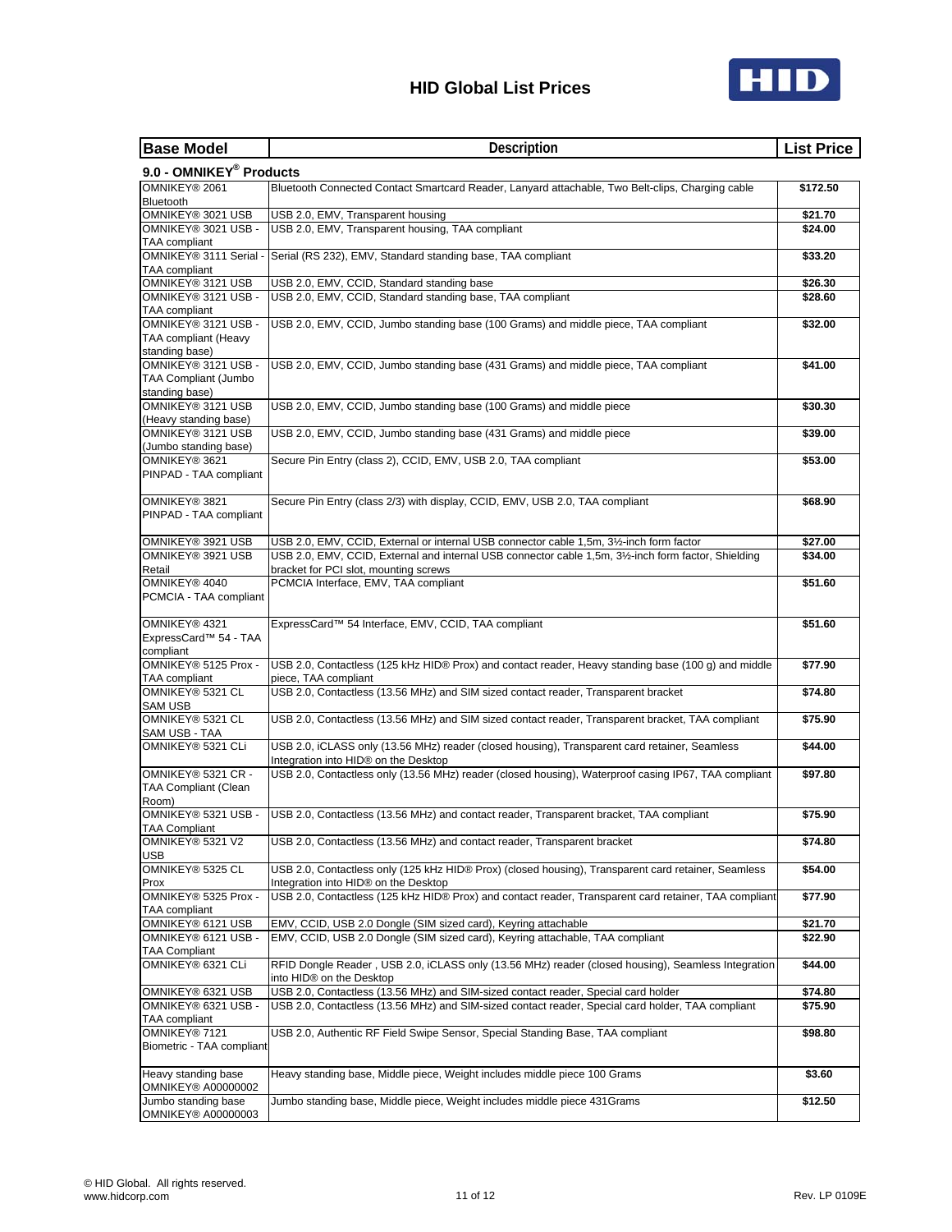

| <b>Base Model</b>                                | Description                                                                                                                                 | <b>List Price</b> |
|--------------------------------------------------|---------------------------------------------------------------------------------------------------------------------------------------------|-------------------|
| 9.0 - OMNIKEY <sup>®</sup> Products              |                                                                                                                                             |                   |
| OMNIKEY® 2061                                    | Bluetooth Connected Contact Smartcard Reader, Lanyard attachable, Two Belt-clips, Charging cable                                            | \$172.50          |
| Bluetooth                                        |                                                                                                                                             |                   |
| OMNIKEY® 3021 USB                                | USB 2.0, EMV, Transparent housing                                                                                                           | \$21.70           |
| OMNIKEY® 3021 USB -<br>TAA compliant             | USB 2.0, EMV, Transparent housing, TAA compliant                                                                                            | \$24.00           |
| OMNIKEY® 3111 Serial -                           | Serial (RS 232), EMV, Standard standing base, TAA compliant                                                                                 | \$33.20           |
| TAA compliant                                    |                                                                                                                                             |                   |
| OMNIKEY® 3121 USB                                | USB 2.0, EMV, CCID, Standard standing base                                                                                                  | \$26.30           |
| OMNIKEY® 3121 USB -<br>TAA compliant             | USB 2.0, EMV, CCID, Standard standing base, TAA compliant                                                                                   | \$28.60           |
| OMNIKEY® 3121 USB -                              | USB 2.0, EMV, CCID, Jumbo standing base (100 Grams) and middle piece, TAA compliant                                                         | \$32.00           |
| TAA compliant (Heavy                             |                                                                                                                                             |                   |
| standing base)                                   |                                                                                                                                             |                   |
| OMNIKEY® 3121 USB -                              | USB 2.0, EMV, CCID, Jumbo standing base (431 Grams) and middle piece, TAA compliant                                                         | \$41.00           |
| TAA Compliant (Jumbo<br>standing base)           |                                                                                                                                             |                   |
| OMNIKEY® 3121 USB                                | USB 2.0, EMV, CCID, Jumbo standing base (100 Grams) and middle piece                                                                        | \$30.30           |
| (Heavy standing base)                            |                                                                                                                                             |                   |
| OMNIKEY® 3121 USB                                | USB 2.0, EMV, CCID, Jumbo standing base (431 Grams) and middle piece                                                                        | \$39.00           |
| (Jumbo standing base)<br>OMNIKEY® 3621           | Secure Pin Entry (class 2), CCID, EMV, USB 2.0, TAA compliant                                                                               | \$53.00           |
| PINPAD - TAA compliant                           |                                                                                                                                             |                   |
|                                                  |                                                                                                                                             |                   |
| OMNIKEY® 3821                                    | Secure Pin Entry (class 2/3) with display, CCID, EMV, USB 2.0, TAA compliant                                                                | \$68.90           |
| PINPAD - TAA compliant                           |                                                                                                                                             |                   |
| OMNIKEY® 3921 USB                                | USB 2.0, EMV, CCID, External or internal USB connector cable 1,5m, 31/2-inch form factor                                                    | \$27.00           |
| OMNIKEY® 3921 USB                                | USB 2.0, EMV, CCID, External and internal USB connector cable 1,5m, 31/2-inch form factor, Shielding                                        | \$34.00           |
| Retail                                           | bracket for PCI slot, mounting screws                                                                                                       |                   |
| OMNIKEY® 4040                                    | PCMCIA Interface, EMV, TAA compliant                                                                                                        | \$51.60           |
| PCMCIA - TAA compliant                           |                                                                                                                                             |                   |
| OMNIKEY® 4321                                    | ExpressCard™ 54 Interface, EMV, CCID, TAA compliant                                                                                         | \$51.60           |
| ExpressCard <sup>™</sup> 54 - TAA                |                                                                                                                                             |                   |
| compliant                                        |                                                                                                                                             |                   |
| OMNIKEY® 5125 Prox -<br>TAA compliant            | USB 2.0, Contactless (125 kHz HID® Prox) and contact reader, Heavy standing base (100 g) and middle<br>piece, TAA compliant                 | \$77.90           |
| OMNIKEY® 5321 CL                                 | USB 2.0, Contactless (13.56 MHz) and SIM sized contact reader, Transparent bracket                                                          | \$74.80           |
| <b>SAM USB</b>                                   |                                                                                                                                             |                   |
| OMNIKEY® 5321 CL                                 | USB 2.0, Contactless (13.56 MHz) and SIM sized contact reader, Transparent bracket, TAA compliant                                           | \$75.90           |
| SAM USB - TAA<br>OMNIKEY® 5321 CLi               | USB 2.0, iCLASS only (13.56 MHz) reader (closed housing), Transparent card retainer, Seamless                                               | \$44.00           |
|                                                  | Integration into HID® on the Desktop                                                                                                        |                   |
| OMNIKEY® 5321 CR -                               | USB 2.0, Contactless only (13.56 MHz) reader (closed housing), Waterproof casing IP67, TAA compliant                                        | \$97.80           |
| TAA Compliant (Clean                             |                                                                                                                                             |                   |
| Room)<br>OMNIKEY® 5321 USB -                     | USB 2.0, Contactless (13.56 MHz) and contact reader, Transparent bracket, TAA compliant                                                     | \$75.90           |
| <b>TAA Compliant</b>                             |                                                                                                                                             |                   |
| OMNIKEY® 5321 V2                                 | USB 2.0, Contactless (13.56 MHz) and contact reader, Transparent bracket                                                                    | \$74.80           |
| <b>USB</b><br>OMNIKEY® 5325 CL                   |                                                                                                                                             |                   |
| Prox                                             | USB 2.0, Contactless only (125 kHz HID® Prox) (closed housing), Transparent card retainer, Seamless<br>Integration into HID® on the Desktop | \$54.00           |
| OMNIKEY® 5325 Prox -                             | USB 2.0, Contactless (125 kHz HID® Prox) and contact reader, Transparent card retainer, TAA compliant                                       | \$77.90           |
| TAA compliant                                    |                                                                                                                                             |                   |
| OMNIKEY® 6121 USB                                | EMV, CCID, USB 2.0 Dongle (SIM sized card), Keyring attachable                                                                              | \$21.70           |
| OMNIKEY® 6121 USB -<br><b>TAA Compliant</b>      | EMV, CCID, USB 2.0 Dongle (SIM sized card), Keyring attachable, TAA compliant                                                               | \$22.90           |
| OMNIKEY® 6321 CLi                                | RFID Dongle Reader, USB 2.0, iCLASS only (13.56 MHz) reader (closed housing), Seamless Integration                                          | \$44.00           |
|                                                  | into HID® on the Desktop                                                                                                                    |                   |
| OMNIKEY® 6321 USB                                | USB 2.0, Contactless (13.56 MHz) and SIM-sized contact reader, Special card holder                                                          | \$74.80           |
| OMNIKEY® 6321 USB -<br>TAA compliant             | USB 2.0, Contactless (13.56 MHz) and SIM-sized contact reader, Special card holder, TAA compliant                                           | \$75.90           |
| OMNIKEY® 7121                                    | USB 2.0, Authentic RF Field Swipe Sensor, Special Standing Base, TAA compliant                                                              | \$98.80           |
| Biometric - TAA compliant                        |                                                                                                                                             |                   |
|                                                  |                                                                                                                                             |                   |
| Heavy standing base<br><b>OMNIKEY® A00000002</b> | Heavy standing base, Middle piece, Weight includes middle piece 100 Grams                                                                   | \$3.60            |
| Jumbo standing base                              | Jumbo standing base, Middle piece, Weight includes middle piece 431Grams                                                                    | \$12.50           |
| <b>OMNIKEY® A00000003</b>                        |                                                                                                                                             |                   |